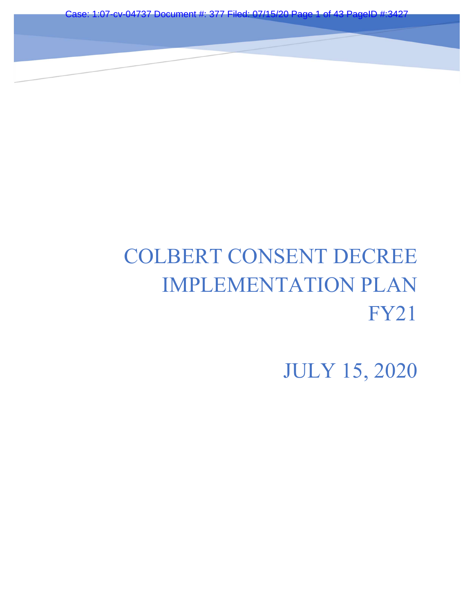Case: 1:07-cv-04737 Document #: 377 Filed: 07/15

on

# COLBERT CONSENT DECREE IMPLEMENTATION PLAN FY21

JULY 15, 2020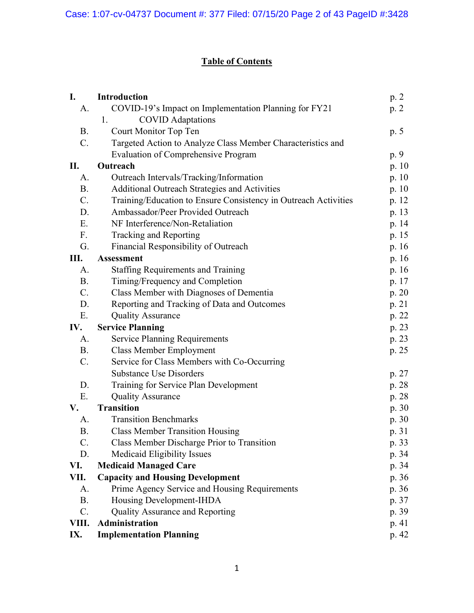# Table of Contents

| I.              | <b>Introduction</b>                                             | p. 2    |
|-----------------|-----------------------------------------------------------------|---------|
| A.              | COVID-19's Impact on Implementation Planning for FY21           | p. $2$  |
|                 | <b>COVID</b> Adaptations<br>1.                                  |         |
| <b>B.</b>       | Court Monitor Top Ten                                           | p. 5    |
| $\mathcal{C}$ . | Targeted Action to Analyze Class Member Characteristics and     |         |
|                 | <b>Evaluation of Comprehensive Program</b>                      | p. 9    |
| П.              | Outreach                                                        | p. $10$ |
| A.              | Outreach Intervals/Tracking/Information                         | p. $10$ |
| <b>B.</b>       | Additional Outreach Strategies and Activities                   | p. 10   |
| $C_{\cdot}$     | Training/Education to Ensure Consistency in Outreach Activities | p. 12   |
| D.              | Ambassador/Peer Provided Outreach                               | p. 13   |
| E.              | NF Interference/Non-Retaliation                                 | p. 14   |
| F <sub>r</sub>  | Tracking and Reporting                                          | p. 15   |
| G.              | Financial Responsibility of Outreach                            | p. $16$ |
| Ш.              | <b>Assessment</b>                                               | p. $16$ |
| A.              | <b>Staffing Requirements and Training</b>                       | p. 16   |
| <b>B.</b>       | Timing/Frequency and Completion                                 | p. 17   |
| $C_{\cdot}$     | Class Member with Diagnoses of Dementia                         | p. $20$ |
| D.              | Reporting and Tracking of Data and Outcomes                     | p. 21   |
| E.              | <b>Quality Assurance</b>                                        | p. 22   |
| IV.             | <b>Service Planning</b>                                         | p. 23   |
| A.              | <b>Service Planning Requirements</b>                            | p. 23   |
| <b>B.</b>       | <b>Class Member Employment</b>                                  | p. 25   |
| $\mathbf{C}$ .  | Service for Class Members with Co-Occurring                     |         |
|                 | <b>Substance Use Disorders</b>                                  | p. 27   |
| D.              | Training for Service Plan Development                           | p. 28   |
| E.              | <b>Quality Assurance</b>                                        | p. 28   |
| V.              | <b>Transition</b>                                               | p.30    |
| A.              | <b>Transition Benchmarks</b>                                    | p.30    |
| <b>B.</b>       | <b>Class Member Transition Housing</b>                          | p. 31   |
| C.              | Class Member Discharge Prior to Transition                      | p. 33   |
| D.              | Medicaid Eligibility Issues                                     | p. 34   |
| VI.             | <b>Medicaid Managed Care</b>                                    | p. 34   |
| VII.            | <b>Capacity and Housing Development</b>                         | p. 36   |
| A.              | Prime Agency Service and Housing Requirements                   | p. 36   |
| <b>B.</b>       | Housing Development-IHDA                                        | p. 37   |
| C.              | Quality Assurance and Reporting                                 | p. 39   |
| VIII.           | Administration                                                  | p.41    |
| IX.             | <b>Implementation Planning</b>                                  | p. 42   |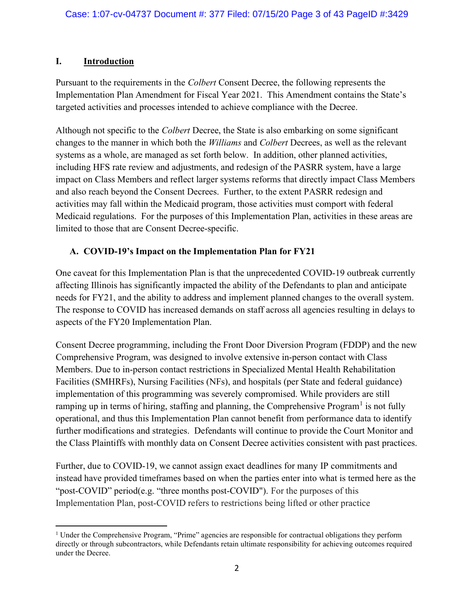#### I. Introduction

Pursuant to the requirements in the Colbert Consent Decree, the following represents the Implementation Plan Amendment for Fiscal Year 2021. This Amendment contains the State's targeted activities and processes intended to achieve compliance with the Decree.

Although not specific to the Colbert Decree, the State is also embarking on some significant changes to the manner in which both the Williams and Colbert Decrees, as well as the relevant systems as a whole, are managed as set forth below. In addition, other planned activities, including HFS rate review and adjustments, and redesign of the PASRR system, have a large impact on Class Members and reflect larger systems reforms that directly impact Class Members and also reach beyond the Consent Decrees. Further, to the extent PASRR redesign and activities may fall within the Medicaid program, those activities must comport with federal Medicaid regulations. For the purposes of this Implementation Plan, activities in these areas are limited to those that are Consent Decree-specific.

#### A. COVID-19's Impact on the Implementation Plan for FY21

One caveat for this Implementation Plan is that the unprecedented COVID-19 outbreak currently affecting Illinois has significantly impacted the ability of the Defendants to plan and anticipate needs for FY21, and the ability to address and implement planned changes to the overall system. The response to COVID has increased demands on staff across all agencies resulting in delays to aspects of the FY20 Implementation Plan.

Consent Decree programming, including the Front Door Diversion Program (FDDP) and the new Comprehensive Program, was designed to involve extensive in-person contact with Class Members. Due to in-person contact restrictions in Specialized Mental Health Rehabilitation Facilities (SMHRFs), Nursing Facilities (NFs), and hospitals (per State and federal guidance) implementation of this programming was severely compromised. While providers are still ramping up in terms of hiring, staffing and planning, the Comprehensive Program<sup>1</sup> is not fully operational, and thus this Implementation Plan cannot benefit from performance data to identify further modifications and strategies. Defendants will continue to provide the Court Monitor and the Class Plaintiffs with monthly data on Consent Decree activities consistent with past practices.

Further, due to COVID-19, we cannot assign exact deadlines for many IP commitments and instead have provided timeframes based on when the parties enter into what is termed here as the "post-COVID" period(e.g. "three months post-COVID"). For the purposes of this Implementation Plan, post-COVID refers to restrictions being lifted or other practice

<sup>&</sup>lt;sup>1</sup> Under the Comprehensive Program, "Prime" agencies are responsible for contractual obligations they perform directly or through subcontractors, while Defendants retain ultimate responsibility for achieving outcomes required under the Decree.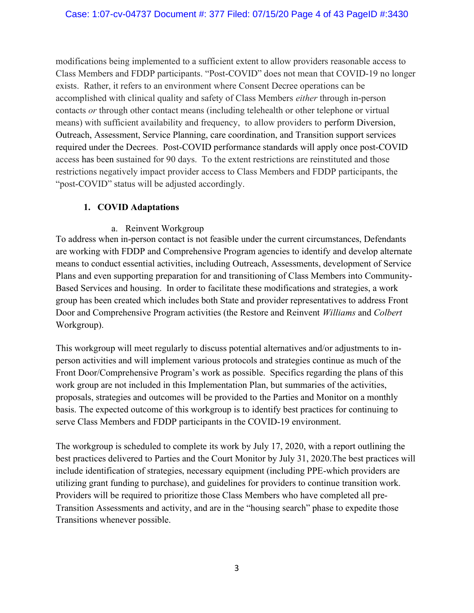modifications being implemented to a sufficient extent to allow providers reasonable access to Class Members and FDDP participants. "Post-COVID" does not mean that COVID-19 no longer exists. Rather, it refers to an environment where Consent Decree operations can be accomplished with clinical quality and safety of Class Members either through in-person contacts or through other contact means (including telehealth or other telephone or virtual means) with sufficient availability and frequency, to allow providers to perform Diversion, Outreach, Assessment, Service Planning, care coordination, and Transition support services required under the Decrees. Post-COVID performance standards will apply once post-COVID access has been sustained for 90 days. To the extent restrictions are reinstituted and those restrictions negatively impact provider access to Class Members and FDDP participants, the "post-COVID" status will be adjusted accordingly.

#### 1. COVID Adaptations

#### a. Reinvent Workgroup

To address when in-person contact is not feasible under the current circumstances, Defendants are working with FDDP and Comprehensive Program agencies to identify and develop alternate means to conduct essential activities, including Outreach, Assessments, development of Service Plans and even supporting preparation for and transitioning of Class Members into Community-Based Services and housing. In order to facilitate these modifications and strategies, a work group has been created which includes both State and provider representatives to address Front Door and Comprehensive Program activities (the Restore and Reinvent Williams and Colbert Workgroup).

This workgroup will meet regularly to discuss potential alternatives and/or adjustments to inperson activities and will implement various protocols and strategies continue as much of the Front Door/Comprehensive Program's work as possible. Specifics regarding the plans of this work group are not included in this Implementation Plan, but summaries of the activities, proposals, strategies and outcomes will be provided to the Parties and Monitor on a monthly basis. The expected outcome of this workgroup is to identify best practices for continuing to serve Class Members and FDDP participants in the COVID-19 environment.

The workgroup is scheduled to complete its work by July 17, 2020, with a report outlining the best practices delivered to Parties and the Court Monitor by July 31, 2020.The best practices will include identification of strategies, necessary equipment (including PPE-which providers are utilizing grant funding to purchase), and guidelines for providers to continue transition work. Providers will be required to prioritize those Class Members who have completed all pre-Transition Assessments and activity, and are in the "housing search" phase to expedite those Transitions whenever possible.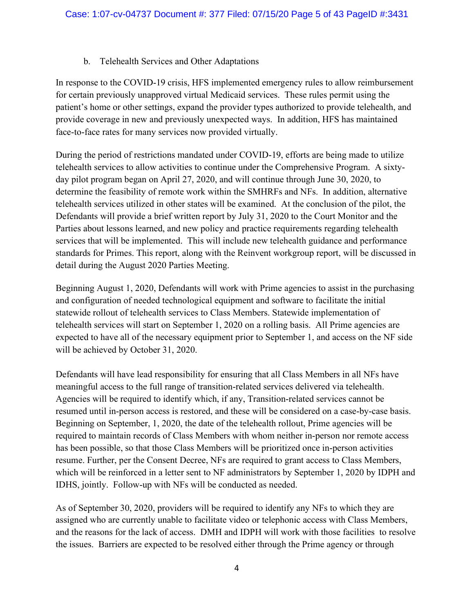#### b. Telehealth Services and Other Adaptations

In response to the COVID-19 crisis, HFS implemented emergency rules to allow reimbursement for certain previously unapproved virtual Medicaid services. These rules permit using the patient's home or other settings, expand the provider types authorized to provide telehealth, and provide coverage in new and previously unexpected ways. In addition, HFS has maintained face-to-face rates for many services now provided virtually.

During the period of restrictions mandated under COVID-19, efforts are being made to utilize telehealth services to allow activities to continue under the Comprehensive Program. A sixtyday pilot program began on April 27, 2020, and will continue through June 30, 2020, to determine the feasibility of remote work within the SMHRFs and NFs. In addition, alternative telehealth services utilized in other states will be examined. At the conclusion of the pilot, the Defendants will provide a brief written report by July 31, 2020 to the Court Monitor and the Parties about lessons learned, and new policy and practice requirements regarding telehealth services that will be implemented. This will include new telehealth guidance and performance standards for Primes. This report, along with the Reinvent workgroup report, will be discussed in detail during the August 2020 Parties Meeting.

Beginning August 1, 2020, Defendants will work with Prime agencies to assist in the purchasing and configuration of needed technological equipment and software to facilitate the initial statewide rollout of telehealth services to Class Members. Statewide implementation of telehealth services will start on September 1, 2020 on a rolling basis. All Prime agencies are expected to have all of the necessary equipment prior to September 1, and access on the NF side will be achieved by October 31, 2020.

Defendants will have lead responsibility for ensuring that all Class Members in all NFs have meaningful access to the full range of transition-related services delivered via telehealth. Agencies will be required to identify which, if any, Transition-related services cannot be resumed until in-person access is restored, and these will be considered on a case-by-case basis. Beginning on September, 1, 2020, the date of the telehealth rollout, Prime agencies will be required to maintain records of Class Members with whom neither in-person nor remote access has been possible, so that those Class Members will be prioritized once in-person activities resume. Further, per the Consent Decree, NFs are required to grant access to Class Members, which will be reinforced in a letter sent to NF administrators by September 1, 2020 by IDPH and IDHS, jointly. Follow-up with NFs will be conducted as needed.

As of September 30, 2020, providers will be required to identify any NFs to which they are assigned who are currently unable to facilitate video or telephonic access with Class Members, and the reasons for the lack of access. DMH and IDPH will work with those facilities to resolve the issues. Barriers are expected to be resolved either through the Prime agency or through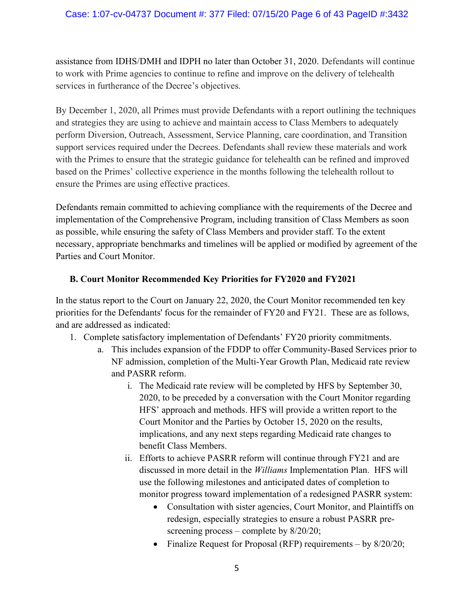#### Case: 1:07-cv-04737 Document #: 377 Filed: 07/15/20 Page 6 of 43 PageID #:3432

assistance from IDHS/DMH and IDPH no later than October 31, 2020. Defendants will continue to work with Prime agencies to continue to refine and improve on the delivery of telehealth services in furtherance of the Decree's objectives.

By December 1, 2020, all Primes must provide Defendants with a report outlining the techniques and strategies they are using to achieve and maintain access to Class Members to adequately perform Diversion, Outreach, Assessment, Service Planning, care coordination, and Transition support services required under the Decrees. Defendants shall review these materials and work with the Primes to ensure that the strategic guidance for telehealth can be refined and improved based on the Primes' collective experience in the months following the telehealth rollout to ensure the Primes are using effective practices.

Defendants remain committed to achieving compliance with the requirements of the Decree and implementation of the Comprehensive Program, including transition of Class Members as soon as possible, while ensuring the safety of Class Members and provider staff. To the extent necessary, appropriate benchmarks and timelines will be applied or modified by agreement of the Parties and Court Monitor.

#### B. Court Monitor Recommended Key Priorities for FY2020 and FY2021

In the status report to the Court on January 22, 2020, the Court Monitor recommended ten key priorities for the Defendants' focus for the remainder of FY20 and FY21. These are as follows, and are addressed as indicated:

- 1. Complete satisfactory implementation of Defendants' FY20 priority commitments.
	- a. This includes expansion of the FDDP to offer Community-Based Services prior to NF admission, completion of the Multi-Year Growth Plan, Medicaid rate review and PASRR reform.
		- i. The Medicaid rate review will be completed by HFS by September 30, 2020, to be preceded by a conversation with the Court Monitor regarding HFS' approach and methods. HFS will provide a written report to the Court Monitor and the Parties by October 15, 2020 on the results, implications, and any next steps regarding Medicaid rate changes to benefit Class Members.
		- ii. Efforts to achieve PASRR reform will continue through FY21 and are discussed in more detail in the Williams Implementation Plan. HFS will use the following milestones and anticipated dates of completion to monitor progress toward implementation of a redesigned PASRR system:
			- Consultation with sister agencies, Court Monitor, and Plaintiffs on redesign, especially strategies to ensure a robust PASRR prescreening process – complete by  $8/20/20$ ;
			- Finalize Request for Proposal (RFP) requirements  $-$  by  $8/20/20$ ;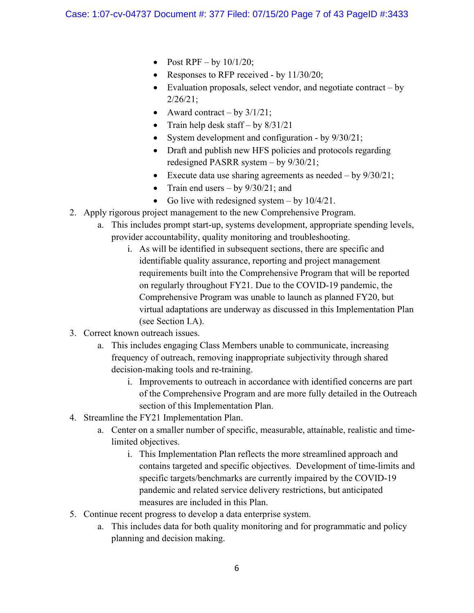- Post RPF by  $10/1/20$ ;
- Responses to RFP received by  $11/30/20$ ;
- Evaluation proposals, select vendor, and negotiate contract  $-$  by 2/26/21;
- Award contract by  $3/1/21$ ;
- Train help desk staff by  $8/31/21$
- System development and configuration by  $9/30/21$ ;
- Draft and publish new HFS policies and protocols regarding redesigned PASRR system – by 9/30/21;
- Execute data use sharing agreements as needed by  $9/30/21$ ;
- Train end users by  $9/30/21$ ; and
- Go live with redesigned system  $-$  by 10/4/21.
- 2. Apply rigorous project management to the new Comprehensive Program.
	- a. This includes prompt start-up, systems development, appropriate spending levels, provider accountability, quality monitoring and troubleshooting.
		- i. As will be identified in subsequent sections, there are specific and identifiable quality assurance, reporting and project management requirements built into the Comprehensive Program that will be reported on regularly throughout FY21. Due to the COVID-19 pandemic, the Comprehensive Program was unable to launch as planned FY20, but virtual adaptations are underway as discussed in this Implementation Plan (see Section I.A).
- 3. Correct known outreach issues.
	- a. This includes engaging Class Members unable to communicate, increasing frequency of outreach, removing inappropriate subjectivity through shared decision-making tools and re-training.
		- i. Improvements to outreach in accordance with identified concerns are part of the Comprehensive Program and are more fully detailed in the Outreach section of this Implementation Plan.
- 4. Streamline the FY21 Implementation Plan.
	- a. Center on a smaller number of specific, measurable, attainable, realistic and timelimited objectives.
		- i. This Implementation Plan reflects the more streamlined approach and contains targeted and specific objectives. Development of time-limits and specific targets/benchmarks are currently impaired by the COVID-19 pandemic and related service delivery restrictions, but anticipated measures are included in this Plan.
- 5. Continue recent progress to develop a data enterprise system.
	- a. This includes data for both quality monitoring and for programmatic and policy planning and decision making.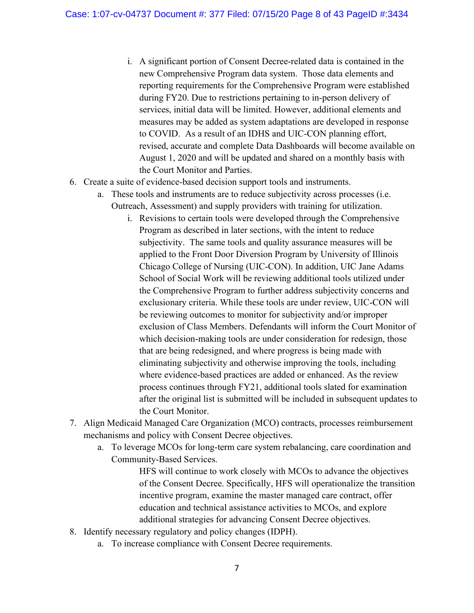- i. A significant portion of Consent Decree-related data is contained in the new Comprehensive Program data system. Those data elements and reporting requirements for the Comprehensive Program were established during FY20. Due to restrictions pertaining to in-person delivery of services, initial data will be limited. However, additional elements and measures may be added as system adaptations are developed in response to COVID. As a result of an IDHS and UIC-CON planning effort, revised, accurate and complete Data Dashboards will become available on August 1, 2020 and will be updated and shared on a monthly basis with the Court Monitor and Parties.
- 6. Create a suite of evidence-based decision support tools and instruments.
	- a. These tools and instruments are to reduce subjectivity across processes (i.e. Outreach, Assessment) and supply providers with training for utilization.
		- i. Revisions to certain tools were developed through the Comprehensive Program as described in later sections, with the intent to reduce subjectivity. The same tools and quality assurance measures will be applied to the Front Door Diversion Program by University of Illinois Chicago College of Nursing (UIC-CON). In addition, UIC Jane Adams School of Social Work will be reviewing additional tools utilized under the Comprehensive Program to further address subjectivity concerns and exclusionary criteria. While these tools are under review, UIC-CON will be reviewing outcomes to monitor for subjectivity and/or improper exclusion of Class Members. Defendants will inform the Court Monitor of which decision-making tools are under consideration for redesign, those that are being redesigned, and where progress is being made with eliminating subjectivity and otherwise improving the tools, including where evidence-based practices are added or enhanced. As the review process continues through FY21, additional tools slated for examination after the original list is submitted will be included in subsequent updates to the Court Monitor.
- 7. Align Medicaid Managed Care Organization (MCO) contracts, processes reimbursement mechanisms and policy with Consent Decree objectives.
	- a. To leverage MCOs for long-term care system rebalancing, care coordination and Community-Based Services.

HFS will continue to work closely with MCOs to advance the objectives of the Consent Decree. Specifically, HFS will operationalize the transition incentive program, examine the master managed care contract, offer education and technical assistance activities to MCOs, and explore additional strategies for advancing Consent Decree objectives.

- 8. Identify necessary regulatory and policy changes (IDPH).
	- a. To increase compliance with Consent Decree requirements.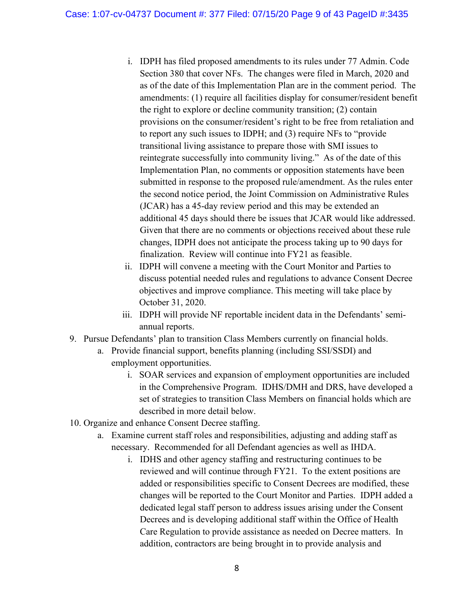- i. IDPH has filed proposed amendments to its rules under 77 Admin. Code Section 380 that cover NFs. The changes were filed in March, 2020 and as of the date of this Implementation Plan are in the comment period. The amendments: (1) require all facilities display for consumer/resident benefit the right to explore or decline community transition; (2) contain provisions on the consumer/resident's right to be free from retaliation and to report any such issues to IDPH; and (3) require NFs to "provide transitional living assistance to prepare those with SMI issues to reintegrate successfully into community living." As of the date of this Implementation Plan, no comments or opposition statements have been submitted in response to the proposed rule/amendment. As the rules enter the second notice period, the Joint Commission on Administrative Rules (JCAR) has a 45-day review period and this may be extended an additional 45 days should there be issues that JCAR would like addressed. Given that there are no comments or objections received about these rule changes, IDPH does not anticipate the process taking up to 90 days for finalization. Review will continue into FY21 as feasible.
- ii. IDPH will convene a meeting with the Court Monitor and Parties to discuss potential needed rules and regulations to advance Consent Decree objectives and improve compliance. This meeting will take place by October 31, 2020.
- iii. IDPH will provide NF reportable incident data in the Defendants' semiannual reports.
- 9. Pursue Defendants' plan to transition Class Members currently on financial holds.
	- a. Provide financial support, benefits planning (including SSI/SSDI) and employment opportunities.
		- i. SOAR services and expansion of employment opportunities are included in the Comprehensive Program. IDHS/DMH and DRS, have developed a set of strategies to transition Class Members on financial holds which are described in more detail below.
- 10. Organize and enhance Consent Decree staffing.
	- a. Examine current staff roles and responsibilities, adjusting and adding staff as necessary. Recommended for all Defendant agencies as well as IHDA.
		- i. IDHS and other agency staffing and restructuring continues to be reviewed and will continue through FY21. To the extent positions are added or responsibilities specific to Consent Decrees are modified, these changes will be reported to the Court Monitor and Parties. IDPH added a dedicated legal staff person to address issues arising under the Consent Decrees and is developing additional staff within the Office of Health Care Regulation to provide assistance as needed on Decree matters. In addition, contractors are being brought in to provide analysis and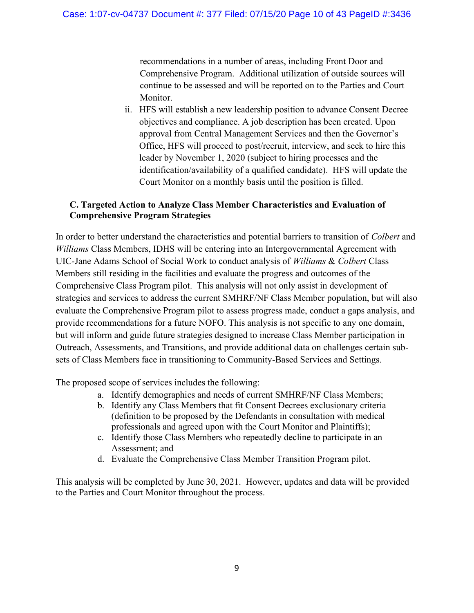recommendations in a number of areas, including Front Door and Comprehensive Program. Additional utilization of outside sources will continue to be assessed and will be reported on to the Parties and Court Monitor.

ii. HFS will establish a new leadership position to advance Consent Decree objectives and compliance. A job description has been created. Upon approval from Central Management Services and then the Governor's Office, HFS will proceed to post/recruit, interview, and seek to hire this leader by November 1, 2020 (subject to hiring processes and the identification/availability of a qualified candidate). HFS will update the Court Monitor on a monthly basis until the position is filled.

#### C. Targeted Action to Analyze Class Member Characteristics and Evaluation of Comprehensive Program Strategies

In order to better understand the characteristics and potential barriers to transition of *Colbert* and Williams Class Members, IDHS will be entering into an Intergovernmental Agreement with UIC-Jane Adams School of Social Work to conduct analysis of Williams & Colbert Class Members still residing in the facilities and evaluate the progress and outcomes of the Comprehensive Class Program pilot. This analysis will not only assist in development of strategies and services to address the current SMHRF/NF Class Member population, but will also evaluate the Comprehensive Program pilot to assess progress made, conduct a gaps analysis, and provide recommendations for a future NOFO. This analysis is not specific to any one domain, but will inform and guide future strategies designed to increase Class Member participation in Outreach, Assessments, and Transitions, and provide additional data on challenges certain subsets of Class Members face in transitioning to Community-Based Services and Settings.

The proposed scope of services includes the following:

- a. Identify demographics and needs of current SMHRF/NF Class Members;
- b. Identify any Class Members that fit Consent Decrees exclusionary criteria (definition to be proposed by the Defendants in consultation with medical professionals and agreed upon with the Court Monitor and Plaintiffs);
- c. Identify those Class Members who repeatedly decline to participate in an Assessment; and
- d. Evaluate the Comprehensive Class Member Transition Program pilot.

This analysis will be completed by June 30, 2021. However, updates and data will be provided to the Parties and Court Monitor throughout the process.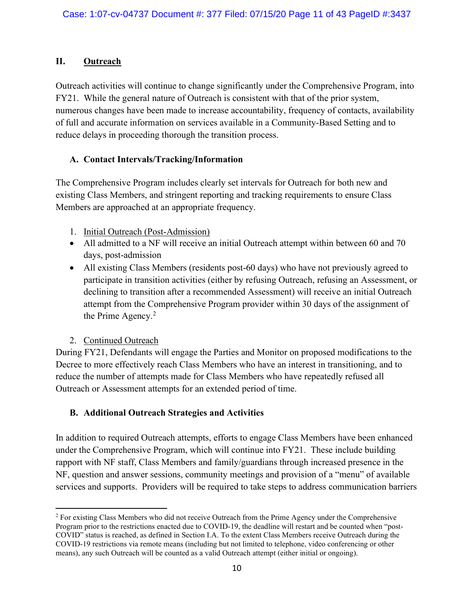# II. Outreach

Outreach activities will continue to change significantly under the Comprehensive Program, into FY21. While the general nature of Outreach is consistent with that of the prior system, numerous changes have been made to increase accountability, frequency of contacts, availability of full and accurate information on services available in a Community-Based Setting and to reduce delays in proceeding thorough the transition process.

#### A. Contact Intervals/Tracking/Information

The Comprehensive Program includes clearly set intervals for Outreach for both new and existing Class Members, and stringent reporting and tracking requirements to ensure Class Members are approached at an appropriate frequency.

- 1. Initial Outreach (Post-Admission)
- All admitted to a NF will receive an initial Outreach attempt within between 60 and 70 days, post-admission
- All existing Class Members (residents post-60 days) who have not previously agreed to participate in transition activities (either by refusing Outreach, refusing an Assessment, or declining to transition after a recommended Assessment) will receive an initial Outreach attempt from the Comprehensive Program provider within 30 days of the assignment of the Prime Agency. $2$

#### 2. Continued Outreach

During FY21, Defendants will engage the Parties and Monitor on proposed modifications to the Decree to more effectively reach Class Members who have an interest in transitioning, and to reduce the number of attempts made for Class Members who have repeatedly refused all Outreach or Assessment attempts for an extended period of time.

# B. Additional Outreach Strategies and Activities

In addition to required Outreach attempts, efforts to engage Class Members have been enhanced under the Comprehensive Program, which will continue into FY21. These include building rapport with NF staff, Class Members and family/guardians through increased presence in the NF, question and answer sessions, community meetings and provision of a "menu" of available services and supports. Providers will be required to take steps to address communication barriers

<sup>&</sup>lt;sup>2</sup> For existing Class Members who did not receive Outreach from the Prime Agency under the Comprehensive Program prior to the restrictions enacted due to COVID-19, the deadline will restart and be counted when "post-COVID" status is reached, as defined in Section I.A. To the extent Class Members receive Outreach during the COVID-19 restrictions via remote means (including but not limited to telephone, video conferencing or other means), any such Outreach will be counted as a valid Outreach attempt (either initial or ongoing).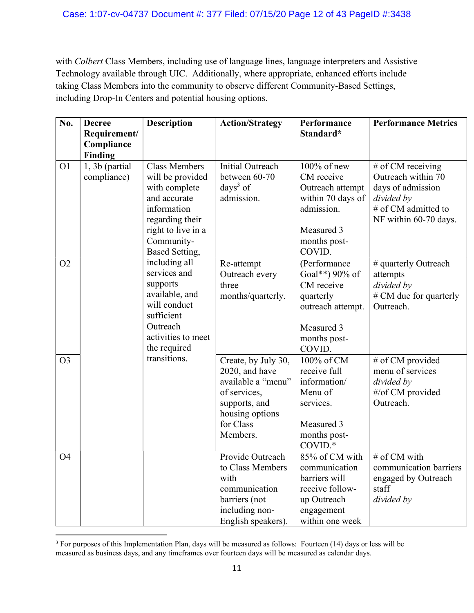with Colbert Class Members, including use of language lines, language interpreters and Assistive Technology available through UIC. Additionally, where appropriate, enhanced efforts include taking Class Members into the community to observe different Community-Based Settings, including Drop-In Centers and potential housing options.

| No.            | <b>Decree</b>  | <b>Description</b>                | <b>Action/Strategy</b>               | Performance                | <b>Performance Metrics</b>              |
|----------------|----------------|-----------------------------------|--------------------------------------|----------------------------|-----------------------------------------|
|                | Requirement/   |                                   |                                      | Standard*                  |                                         |
|                | Compliance     |                                   |                                      |                            |                                         |
|                | Finding        | <b>Class Members</b>              | <b>Initial Outreach</b>              | $100\%$ of new             |                                         |
| O <sub>1</sub> | 1, 3b (partial |                                   | between 60-70                        | CM receive                 | # of CM receiving<br>Outreach within 70 |
|                | compliance)    | will be provided<br>with complete | days $3$ of                          | Outreach attempt           | days of admission                       |
|                |                | and accurate                      | admission.                           | within 70 days of          | divided by                              |
|                |                | information                       |                                      | admission.                 | # of CM admitted to                     |
|                |                | regarding their                   |                                      |                            | NF within 60-70 days.                   |
|                |                | right to live in a                |                                      | Measured 3                 |                                         |
|                |                | Community-                        |                                      | months post-               |                                         |
|                |                | Based Setting,                    |                                      | COVID.                     |                                         |
| O <sub>2</sub> |                | including all                     | Re-attempt                           | (Performance               | # quarterly Outreach                    |
|                |                | services and                      | Outreach every                       | Goal**) 90% of             | attempts                                |
|                |                | supports                          | three                                | CM receive                 | divided by                              |
|                |                | available, and                    | months/quarterly.                    | quarterly                  | # CM due for quarterly                  |
|                |                | will conduct                      |                                      | outreach attempt.          | Outreach.                               |
|                |                | sufficient                        |                                      |                            |                                         |
|                |                | Outreach                          |                                      | Measured 3                 |                                         |
|                |                | activities to meet                |                                      | months post-               |                                         |
|                |                | the required<br>transitions.      |                                      | COVID.                     |                                         |
| O <sub>3</sub> |                |                                   | Create, by July 30,                  | 100% of CM<br>receive full | # of CM provided<br>menu of services    |
|                |                |                                   | 2020, and have<br>available a "menu" | information/               | divided by                              |
|                |                |                                   | of services,                         | Menu of                    | #/of CM provided                        |
|                |                |                                   | supports, and                        | services.                  | Outreach.                               |
|                |                |                                   | housing options                      |                            |                                         |
|                |                |                                   | for Class                            | Measured 3                 |                                         |
|                |                |                                   | Members.                             | months post-               |                                         |
|                |                |                                   |                                      | COVID.*                    |                                         |
| O <sub>4</sub> |                |                                   | Provide Outreach                     | 85% of CM with             | # of CM with                            |
|                |                |                                   | to Class Members                     | communication              | communication barriers                  |
|                |                |                                   | with                                 | barriers will              | engaged by Outreach                     |
|                |                |                                   | communication                        | receive follow-            | staff                                   |
|                |                |                                   | barriers (not                        | up Outreach                | divided by                              |
|                |                |                                   | including non-                       | engagement                 |                                         |
|                |                |                                   | English speakers).                   | within one week            |                                         |

 $3$  For purposes of this Implementation Plan, days will be measured as follows: Fourteen (14) days or less will be measured as business days, and any timeframes over fourteen days will be measured as calendar days.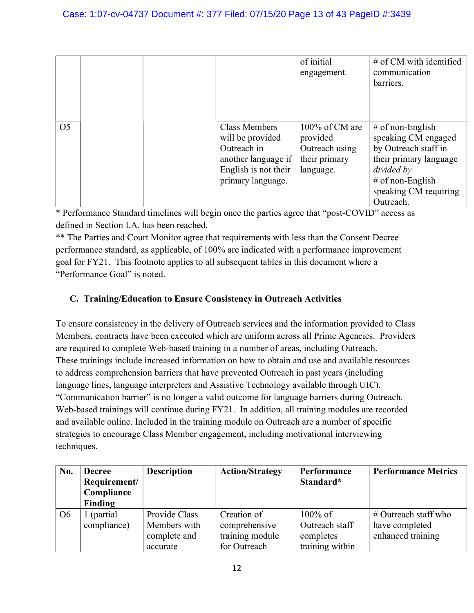|                |  |                                                                                                                             | of initial<br>engagement.                                                  | $#$ of CM with identified<br>communication<br>barriers.                                                                                                             |
|----------------|--|-----------------------------------------------------------------------------------------------------------------------------|----------------------------------------------------------------------------|---------------------------------------------------------------------------------------------------------------------------------------------------------------------|
| O <sub>5</sub> |  | <b>Class Members</b><br>will be provided<br>Outreach in<br>another language if<br>English is not their<br>primary language. | 100% of CM are<br>provided<br>Outreach using<br>their primary<br>language. | # of non-English<br>speaking CM engaged<br>by Outreach staff in<br>their primary language<br>divided by<br>$#$ of non-English<br>speaking CM requiring<br>Outreach. |

\*\* The Parties and Court Monitor agree that requirements with less than the Consent Decree performance standard, as applicable, of 100% are indicated with a performance improvement goal for FY21. This footnote applies to all subsequent tables in this document where a "Performance Goal" is noted.

# C. Training/Education to Ensure Consistency in Outreach Activities

To ensure consistency in the delivery of Outreach services and the information provided to Class Members, contracts have been executed which are uniform across all Prime Agencies. Providers are required to complete Web-based training in a number of areas, including Outreach. These trainings include increased information on how to obtain and use and available resources to address comprehension barriers that have prevented Outreach in past years (including language lines, language interpreters and Assistive Technology available through UIC). "Communication barrier" is no longer a valid outcome for language barriers during Outreach. Web-based trainings will continue during FY21. In addition, all training modules are recorded and available online. Included in the training module on Outreach are a number of specific strategies to encourage Class Member engagement, including motivational interviewing techniques.

| No.            | <b>Decree</b> | <b>Description</b> | <b>Action/Strategy</b> | Performance     | <b>Performance Metrics</b> |
|----------------|---------------|--------------------|------------------------|-----------------|----------------------------|
|                | Requirement/  |                    |                        | Standard*       |                            |
|                | Compliance    |                    |                        |                 |                            |
|                | Finding       |                    |                        |                 |                            |
| O <sub>6</sub> | 1 (partial    | Provide Class      | Creation of            | $100\%$ of      | $\#$ Outreach staff who    |
|                | compliance)   | Members with       | comprehensive          | Outreach staff  | have completed             |
|                |               | complete and       | training module        | completes       | enhanced training          |
|                |               | accurate           | for Outreach           | training within |                            |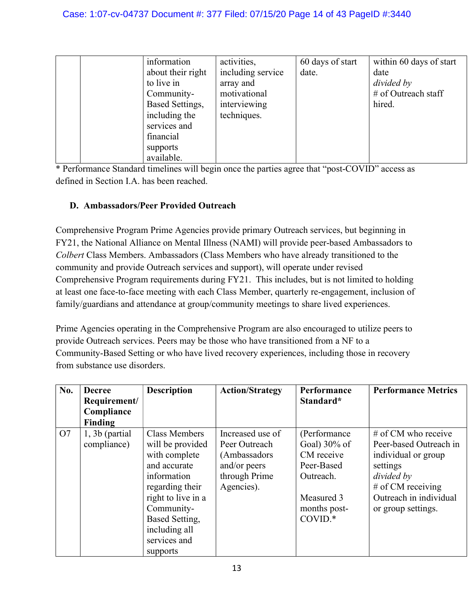|  | information       | activities,       | 60 days of start | within 60 days of start |
|--|-------------------|-------------------|------------------|-------------------------|
|  | about their right | including service | date.            | date                    |
|  | to live in        | array and         |                  | divided by              |
|  | Community-        | motivational      |                  | # of Outreach staff     |
|  | Based Settings,   | interviewing      |                  | hired.                  |
|  | including the     | techniques.       |                  |                         |
|  | services and      |                   |                  |                         |
|  | financial         |                   |                  |                         |
|  | supports          |                   |                  |                         |
|  | available.        |                   |                  |                         |

# D. Ambassadors/Peer Provided Outreach

Comprehensive Program Prime Agencies provide primary Outreach services, but beginning in FY21, the National Alliance on Mental Illness (NAMI) will provide peer-based Ambassadors to Colbert Class Members. Ambassadors (Class Members who have already transitioned to the community and provide Outreach services and support), will operate under revised Comprehensive Program requirements during FY21. This includes, but is not limited to holding at least one face-to-face meeting with each Class Member, quarterly re-engagement, inclusion of family/guardians and attendance at group/community meetings to share lived experiences.

Prime Agencies operating in the Comprehensive Program are also encouraged to utilize peers to provide Outreach services. Peers may be those who have transitioned from a NF to a Community-Based Setting or who have lived recovery experiences, including those in recovery from substance use disorders.

| No. | <b>Decree</b><br>Requirement/<br>Compliance | <b>Description</b>   | <b>Action/Strategy</b> | Performance<br>Standard* | <b>Performance Metrics</b> |
|-----|---------------------------------------------|----------------------|------------------------|--------------------------|----------------------------|
|     | Finding                                     |                      |                        |                          |                            |
| O7  | $1, 3b$ (partial)                           | <b>Class Members</b> | Increased use of       | (Performance             | $#$ of CM who receive      |
|     | compliance)                                 | will be provided     | Peer Outreach          | Goal) $30\%$ of          | Peer-based Outreach in     |
|     |                                             | with complete        | (Ambassadors           | CM receive               | individual or group        |
|     |                                             | and accurate         | and/or peers           | Peer-Based               | settings                   |
|     |                                             | information          | through Prime          | Outreach.                | divided by                 |
|     |                                             | regarding their      | Agencies).             |                          | # of CM receiving          |
|     |                                             | right to live in a   |                        | Measured 3               | Outreach in individual     |
|     |                                             | Community-           |                        | months post-             | or group settings.         |
|     |                                             | Based Setting,       |                        | $COVID.*$                |                            |
|     |                                             | including all        |                        |                          |                            |
|     |                                             | services and         |                        |                          |                            |
|     |                                             | supports             |                        |                          |                            |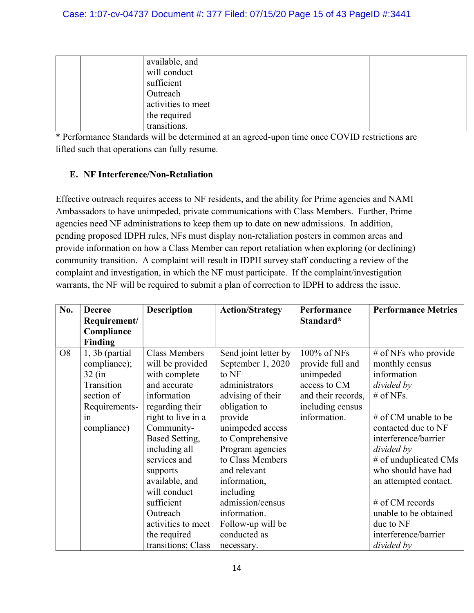|  | available, and     |  |  |
|--|--------------------|--|--|
|  | will conduct       |  |  |
|  | sufficient         |  |  |
|  | Outreach           |  |  |
|  | activities to meet |  |  |
|  | the required       |  |  |
|  | transitions.       |  |  |

\* Performance Standards will be determined at an agreed-upon time once COVID restrictions are lifted such that operations can fully resume.

# E. NF Interference/Non-Retaliation

Effective outreach requires access to NF residents, and the ability for Prime agencies and NAMI Ambassadors to have unimpeded, private communications with Class Members. Further, Prime agencies need NF administrations to keep them up to date on new admissions. In addition, pending proposed IDPH rules, NFs must display non-retaliation posters in common areas and provide information on how a Class Member can report retaliation when exploring (or declining) community transition. A complaint will result in IDPH survey staff conducting a review of the complaint and investigation, in which the NF must participate. If the complaint/investigation warrants, the NF will be required to submit a plan of correction to IDPH to address the issue.

| No.            | <b>Decree</b>     | <b>Description</b>   | <b>Action/Strategy</b> | Performance        | <b>Performance Metrics</b> |
|----------------|-------------------|----------------------|------------------------|--------------------|----------------------------|
|                | Requirement/      |                      |                        | Standard*          |                            |
|                | Compliance        |                      |                        |                    |                            |
|                | <b>Finding</b>    |                      |                        |                    |                            |
| O <sub>8</sub> | $1, 3b$ (partial) | <b>Class Members</b> | Send joint letter by   | 100% of NFs        | # of NFs who provide       |
|                | compliance);      | will be provided     | September 1, 2020      | provide full and   | monthly census             |
|                | $32$ (in          | with complete        | to NF                  | unimpeded          | information                |
|                | Transition        | and accurate         | administrators         | access to CM       | divided by                 |
|                | section of        | information          | advising of their      | and their records, | $#$ of NFs.                |
|                | Requirements-     | regarding their      | obligation to          | including census   |                            |
|                | 1n                | right to live in a   | provide                | information.       | # of CM unable to be       |
|                | compliance)       | Community-           | unimpeded access       |                    | contacted due to NF        |
|                |                   | Based Setting,       | to Comprehensive       |                    | interference/barrier       |
|                |                   | including all        | Program agencies       |                    | divided by                 |
|                |                   | services and         | to Class Members       |                    | # of unduplicated CMs      |
|                |                   | supports             | and relevant           |                    | who should have had        |
|                |                   | available, and       | information,           |                    | an attempted contact.      |
|                |                   | will conduct         | including              |                    |                            |
|                |                   | sufficient           | admission/census       |                    | # of CM records            |
|                |                   | Outreach             | information.           |                    | unable to be obtained      |
|                |                   | activities to meet   | Follow-up will be      |                    | due to NF                  |
|                |                   | the required         | conducted as           |                    | interference/barrier       |
|                |                   | transitions; Class   | necessary.             |                    | divided by                 |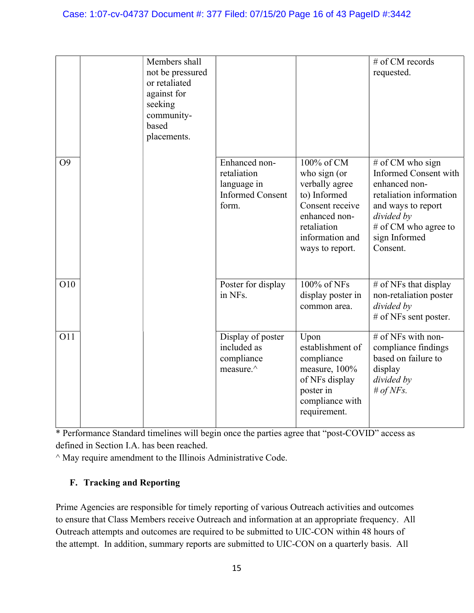#### Case: 1:07-cv-04737 Document #: 377 Filed: 07/15/20 Page 16 of 43 PageID #:3442

|                | Members shall    |                         |                   | # of CM records         |
|----------------|------------------|-------------------------|-------------------|-------------------------|
|                | not be pressured |                         |                   | requested.              |
|                | or retaliated    |                         |                   |                         |
|                | against for      |                         |                   |                         |
|                | seeking          |                         |                   |                         |
|                | community-       |                         |                   |                         |
|                | based            |                         |                   |                         |
|                | placements.      |                         |                   |                         |
|                |                  |                         |                   |                         |
| O <sub>9</sub> |                  | Enhanced non-           | 100% of CM        | # of CM who sign        |
|                |                  | retaliation             | who sign (or      | Informed Consent with   |
|                |                  |                         |                   | enhanced non-           |
|                |                  | language in             | verbally agree    |                         |
|                |                  | <b>Informed Consent</b> | to) Informed      | retaliation information |
|                |                  | form.                   | Consent receive   | and ways to report      |
|                |                  |                         | enhanced non-     | divided by              |
|                |                  |                         | retaliation       | # of CM who agree to    |
|                |                  |                         | information and   | sign Informed           |
|                |                  |                         | ways to report.   | Consent.                |
|                |                  |                         |                   |                         |
|                |                  |                         |                   |                         |
| O10            |                  | Poster for display      | 100% of NFs       | $#$ of NFs that display |
|                |                  | in NFs.                 | display poster in | non-retaliation poster  |
|                |                  |                         | common area.      | divided by              |
|                |                  |                         |                   | # of NFs sent poster.   |
|                |                  |                         |                   |                         |
| O11            |                  | Display of poster       | Upon              | # of NFs with non-      |
|                |                  | included as             | establishment of  | compliance findings     |
|                |                  | compliance              | compliance        | based on failure to     |
|                |                  | measure.^               | measure, 100%     | display                 |
|                |                  |                         | of NFs display    | divided by              |
|                |                  |                         |                   |                         |
|                |                  |                         | poster in         | # of NFs.               |
|                |                  |                         | compliance with   |                         |
|                |                  |                         | requirement.      |                         |
|                |                  |                         |                   |                         |

\* Performance Standard timelines will begin once the parties agree that "post-COVID" access as defined in Section I.A. has been reached.

 $^{\wedge}$  May require amendment to the Illinois Administrative Code.

# F. Tracking and Reporting

Prime Agencies are responsible for timely reporting of various Outreach activities and outcomes to ensure that Class Members receive Outreach and information at an appropriate frequency. All Outreach attempts and outcomes are required to be submitted to UIC-CON within 48 hours of the attempt. In addition, summary reports are submitted to UIC-CON on a quarterly basis. All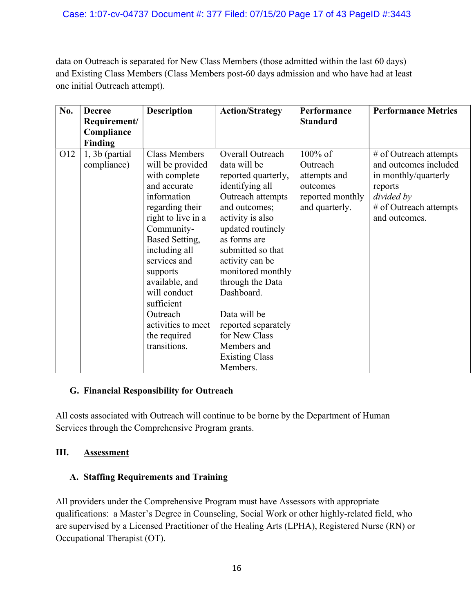data on Outreach is separated for New Class Members (those admitted within the last 60 days) and Existing Class Members (Class Members post-60 days admission and who have had at least one initial Outreach attempt).

| No. | <b>Decree</b>                    | <b>Description</b>                                                                                                                                                                                                               | <b>Action/Strategy</b>                                                                                                                                                                                                                                     | Performance                                                                              | <b>Performance Metrics</b>                                                                                                                  |
|-----|----------------------------------|----------------------------------------------------------------------------------------------------------------------------------------------------------------------------------------------------------------------------------|------------------------------------------------------------------------------------------------------------------------------------------------------------------------------------------------------------------------------------------------------------|------------------------------------------------------------------------------------------|---------------------------------------------------------------------------------------------------------------------------------------------|
|     | Requirement/                     |                                                                                                                                                                                                                                  |                                                                                                                                                                                                                                                            | <b>Standard</b>                                                                          |                                                                                                                                             |
|     | Compliance                       |                                                                                                                                                                                                                                  |                                                                                                                                                                                                                                                            |                                                                                          |                                                                                                                                             |
|     | Finding                          |                                                                                                                                                                                                                                  |                                                                                                                                                                                                                                                            |                                                                                          |                                                                                                                                             |
| O12 | $1, 3b$ (partial)<br>compliance) | <b>Class Members</b><br>will be provided<br>with complete<br>and accurate<br>information<br>regarding their<br>right to live in a<br>Community-<br>Based Setting,<br>including all<br>services and<br>supports<br>available, and | Overall Outreach<br>data will be<br>reported quarterly,<br>identifying all<br>Outreach attempts<br>and outcomes;<br>activity is also<br>updated routinely<br>as forms are<br>submitted so that<br>activity can be<br>monitored monthly<br>through the Data | $100\%$ of<br>Outreach<br>attempts and<br>outcomes<br>reported monthly<br>and quarterly. | # of Outreach attempts<br>and outcomes included<br>in monthly/quarterly<br>reports<br>divided by<br># of Outreach attempts<br>and outcomes. |
|     |                                  | will conduct<br>sufficient<br>Outreach<br>activities to meet<br>the required<br>transitions.                                                                                                                                     | Dashboard.<br>Data will be<br>reported separately<br>for New Class<br>Members and<br><b>Existing Class</b><br>Members.                                                                                                                                     |                                                                                          |                                                                                                                                             |

#### G. Financial Responsibility for Outreach

All costs associated with Outreach will continue to be borne by the Department of Human Services through the Comprehensive Program grants.

#### III. Assessment

#### A. Staffing Requirements and Training

All providers under the Comprehensive Program must have Assessors with appropriate qualifications: a Master's Degree in Counseling, Social Work or other highly-related field, who are supervised by a Licensed Practitioner of the Healing Arts (LPHA), Registered Nurse (RN) or Occupational Therapist (OT).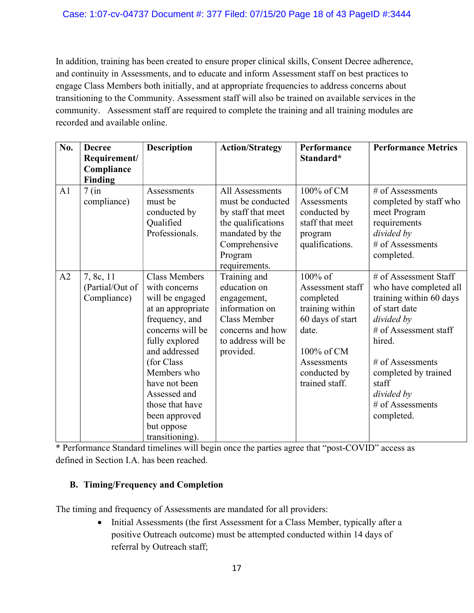In addition, training has been created to ensure proper clinical skills, Consent Decree adherence, and continuity in Assessments, and to educate and inform Assessment staff on best practices to engage Class Members both initially, and at appropriate frequencies to address concerns about transitioning to the Community. Assessment staff will also be trained on available services in the community. Assessment staff are required to complete the training and all training modules are recorded and available online.

| No.            | <b>Decree</b><br>Requirement/<br>Compliance<br>Finding | <b>Description</b>                                                                                                                                                                                                                                                                         | <b>Action/Strategy</b>                                                                                                                           | Performance<br>Standard*                                                                                                                                | <b>Performance Metrics</b>                                                                                                                                                                                                                            |
|----------------|--------------------------------------------------------|--------------------------------------------------------------------------------------------------------------------------------------------------------------------------------------------------------------------------------------------------------------------------------------------|--------------------------------------------------------------------------------------------------------------------------------------------------|---------------------------------------------------------------------------------------------------------------------------------------------------------|-------------------------------------------------------------------------------------------------------------------------------------------------------------------------------------------------------------------------------------------------------|
| A <sub>1</sub> | $7$ (in<br>compliance)                                 | Assessments<br>must be<br>conducted by<br>Qualified<br>Professionals.                                                                                                                                                                                                                      | All Assessments<br>must be conducted<br>by staff that meet<br>the qualifications<br>mandated by the<br>Comprehensive<br>Program<br>requirements. | 100% of CM<br>Assessments<br>conducted by<br>staff that meet<br>program<br>qualifications.                                                              | $#$ of Assessments<br>completed by staff who<br>meet Program<br>requirements<br>divided by<br># of Assessments<br>completed.                                                                                                                          |
| A2             | 7, 8c, 11<br>(Partial/Out of<br>Compliance)            | <b>Class Members</b><br>with concerns<br>will be engaged<br>at an appropriate<br>frequency, and<br>concerns will be<br>fully explored<br>and addressed<br>(for Class)<br>Members who<br>have not been<br>Assessed and<br>those that have<br>been approved<br>but oppose<br>transitioning). | Training and<br>education on<br>engagement,<br>information on<br><b>Class Member</b><br>concerns and how<br>to address will be<br>provided.      | 100% of<br>Assessment staff<br>completed<br>training within<br>60 days of start<br>date.<br>100% of CM<br>Assessments<br>conducted by<br>trained staff. | $#$ of Assessment Staff<br>who have completed all<br>training within 60 days<br>of start date<br>divided by<br># of Assessment staff<br>hired.<br># of Assessments<br>completed by trained<br>staff<br>divided by<br>$#$ of Assessments<br>completed. |

\* Performance Standard timelines will begin once the parties agree that "post-COVID" access as defined in Section I.A. has been reached.

#### B. Timing/Frequency and Completion

The timing and frequency of Assessments are mandated for all providers:

• Initial Assessments (the first Assessment for a Class Member, typically after a positive Outreach outcome) must be attempted conducted within 14 days of referral by Outreach staff;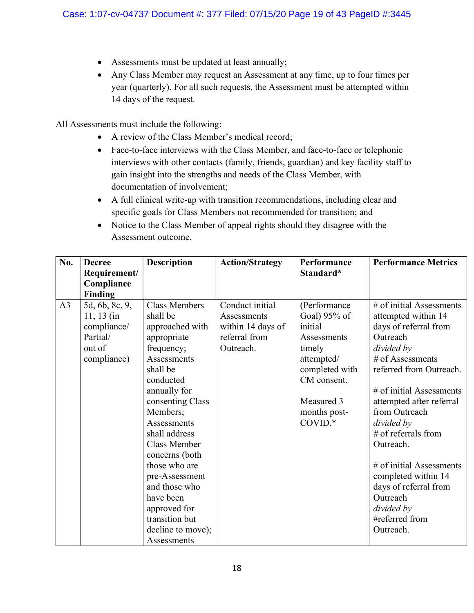- Assessments must be updated at least annually;
- Any Class Member may request an Assessment at any time, up to four times per year (quarterly). For all such requests, the Assessment must be attempted within 14 days of the request.

All Assessments must include the following:

- A review of the Class Member's medical record;
- Face-to-face interviews with the Class Member, and face-to-face or telephonic interviews with other contacts (family, friends, guardian) and key facility staff to gain insight into the strengths and needs of the Class Member, with documentation of involvement;
- A full clinical write-up with transition recommendations, including clear and specific goals for Class Members not recommended for transition; and
- Notice to the Class Member of appeal rights should they disagree with the Assessment outcome.

| No.            | <b>Decree</b><br>Requirement/                                                      | <b>Description</b>                                                                                                                                                                                                                                                                                                                                                                       | <b>Action/Strategy</b>                                                            | Performance<br>Standard*                                                                                                                                 | <b>Performance Metrics</b>                                                                                                                                                                                                                                                                                                                                                                                                      |
|----------------|------------------------------------------------------------------------------------|------------------------------------------------------------------------------------------------------------------------------------------------------------------------------------------------------------------------------------------------------------------------------------------------------------------------------------------------------------------------------------------|-----------------------------------------------------------------------------------|----------------------------------------------------------------------------------------------------------------------------------------------------------|---------------------------------------------------------------------------------------------------------------------------------------------------------------------------------------------------------------------------------------------------------------------------------------------------------------------------------------------------------------------------------------------------------------------------------|
|                | Compliance                                                                         |                                                                                                                                                                                                                                                                                                                                                                                          |                                                                                   |                                                                                                                                                          |                                                                                                                                                                                                                                                                                                                                                                                                                                 |
|                | <b>Finding</b>                                                                     |                                                                                                                                                                                                                                                                                                                                                                                          |                                                                                   |                                                                                                                                                          |                                                                                                                                                                                                                                                                                                                                                                                                                                 |
| A <sub>3</sub> | 5d, 6b, 8c, 9,<br>$11, 13$ (in<br>compliance/<br>Partial/<br>out of<br>compliance) | <b>Class Members</b><br>shall be<br>approached with<br>appropriate<br>frequency;<br>Assessments<br>shall be<br>conducted<br>annually for<br>consenting Class<br>Members;<br>Assessments<br>shall address<br><b>Class Member</b><br>concerns (both<br>those who are<br>pre-Assessment<br>and those who<br>have been<br>approved for<br>transition but<br>decline to move);<br>Assessments | Conduct initial<br>Assessments<br>within 14 days of<br>referral from<br>Outreach. | (Performance<br>Goal) 95% of<br>initial<br>Assessments<br>timely<br>attempted/<br>completed with<br>CM consent.<br>Measured 3<br>months post-<br>COVID.* | $\overline{\#}$ of initial Assessments<br>attempted within 14<br>days of referral from<br>Outreach<br>divided by<br># of Assessments<br>referred from Outreach.<br># of initial Assessments<br>attempted after referral<br>from Outreach<br>divided by<br># of referrals from<br>Outreach.<br># of initial Assessments<br>completed within 14<br>days of referral from<br>Outreach<br>divided by<br>#referred from<br>Outreach. |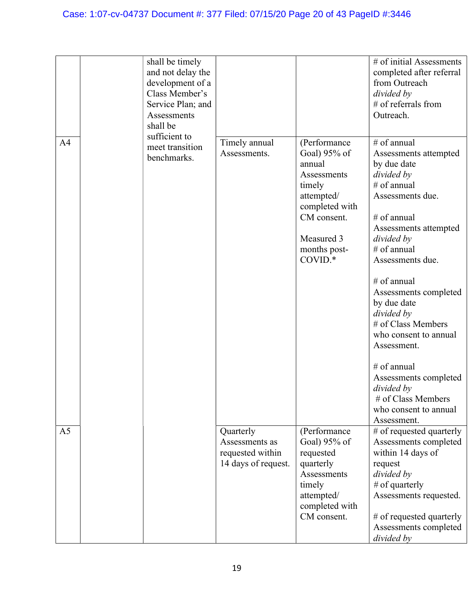# Case: 1:07-cv-04737 Document #: 377 Filed: 07/15/20 Page 20 of 43 PageID #:3446

| A <sub>4</sub> | shall be timely<br>and not delay the<br>development of a<br>Class Member's<br>Service Plan; and<br>Assessments<br>shall be<br>sufficient to | Timely annual                                                          | (Performance                                                                                                                              | # of initial Assessments<br>completed after referral<br>from Outreach<br>divided by<br># of referrals from<br>Outreach.<br># of annual                                                                                                                                                                                                                                                                                                |
|----------------|---------------------------------------------------------------------------------------------------------------------------------------------|------------------------------------------------------------------------|-------------------------------------------------------------------------------------------------------------------------------------------|---------------------------------------------------------------------------------------------------------------------------------------------------------------------------------------------------------------------------------------------------------------------------------------------------------------------------------------------------------------------------------------------------------------------------------------|
|                | meet transition<br>benchmarks.                                                                                                              | Assessments.                                                           | Goal) 95% of<br>annual<br>Assessments<br>timely<br>attempted/<br>completed with<br>CM consent.<br>Measured 3<br>months post-<br>$COVID.*$ | Assessments attempted<br>by due date<br>divided by<br># of annual<br>Assessments due.<br># of annual<br>Assessments attempted<br>divided by<br># of annual<br>Assessments due.<br># of annual<br>Assessments completed<br>by due date<br>divided by<br># of Class Members<br>who consent to annual<br>Assessment.<br># of annual<br>Assessments completed<br>divided by<br># of Class Members<br>who consent to annual<br>Assessment. |
| A <sub>5</sub> |                                                                                                                                             | Quarterly<br>Assessments as<br>requested within<br>14 days of request. | (Performance<br>Goal) 95% of<br>requested<br>quarterly<br>Assessments<br>timely<br>attempted/<br>completed with<br>CM consent.            | # of requested quarterly<br>Assessments completed<br>within 14 days of<br>request<br>divided by<br>$#$ of quarterly<br>Assessments requested.<br># of requested quarterly<br>Assessments completed<br>divided by                                                                                                                                                                                                                      |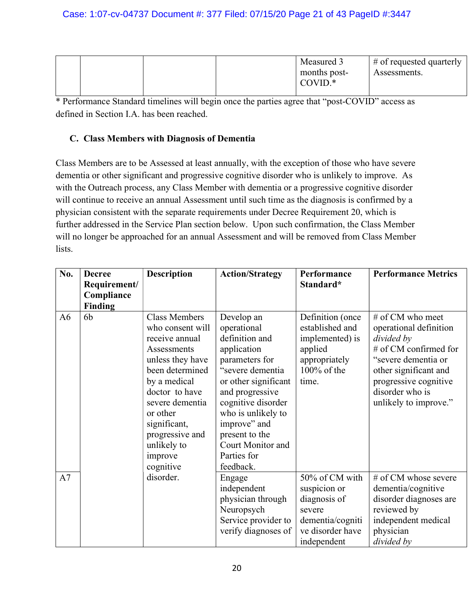|  |  | Measured 3   | $\#$ of requested quarterly |
|--|--|--------------|-----------------------------|
|  |  | months post- | Assessments.                |
|  |  | $COVID.*$    |                             |
|  |  |              |                             |

## C. Class Members with Diagnosis of Dementia

Class Members are to be Assessed at least annually, with the exception of those who have severe dementia or other significant and progressive cognitive disorder who is unlikely to improve. As with the Outreach process, any Class Member with dementia or a progressive cognitive disorder will continue to receive an annual Assessment until such time as the diagnosis is confirmed by a physician consistent with the separate requirements under Decree Requirement 20, which is further addressed in the Service Plan section below. Upon such confirmation, the Class Member will no longer be approached for an annual Assessment and will be removed from Class Member lists.

| No. | <b>Decree</b>  | <b>Description</b>   | <b>Action/Strategy</b> | Performance      | <b>Performance Metrics</b> |
|-----|----------------|----------------------|------------------------|------------------|----------------------------|
|     | Requirement/   |                      |                        | Standard*        |                            |
|     | Compliance     |                      |                        |                  |                            |
|     | <b>Finding</b> |                      |                        |                  |                            |
| A6  | 6b             | <b>Class Members</b> | Develop an             | Definition (once | # of CM who meet           |
|     |                | who consent will     | operational            | established and  | operational definition     |
|     |                | receive annual       | definition and         | implemented) is  | divided by                 |
|     |                | Assessments          | application            | applied          | # of CM confirmed for      |
|     |                | unless they have     | parameters for         | appropriately    | "severe dementia or        |
|     |                | been determined      | "severe dementia       | 100% of the      | other significant and      |
|     |                | by a medical         | or other significant   | time.            | progressive cognitive      |
|     |                | doctor to have       | and progressive        |                  | disorder who is            |
|     |                | severe dementia      | cognitive disorder     |                  | unlikely to improve."      |
|     |                | or other             | who is unlikely to     |                  |                            |
|     |                | significant,         | improve" and           |                  |                            |
|     |                | progressive and      | present to the         |                  |                            |
|     |                | unlikely to          | Court Monitor and      |                  |                            |
|     |                | improve              | Parties for            |                  |                            |
|     |                | cognitive            | feedback.              |                  |                            |
| A7  |                | disorder.            | Engage                 | 50% of CM with   | # of CM whose severe       |
|     |                |                      | independent            | suspicion or     | dementia/cognitive         |
|     |                |                      | physician through      | diagnosis of     | disorder diagnoses are     |
|     |                |                      | Neuropsych             | severe           | reviewed by                |
|     |                |                      | Service provider to    | dementia/cogniti | independent medical        |
|     |                |                      | verify diagnoses of    | ve disorder have | physician                  |
|     |                |                      |                        | independent      | divided by                 |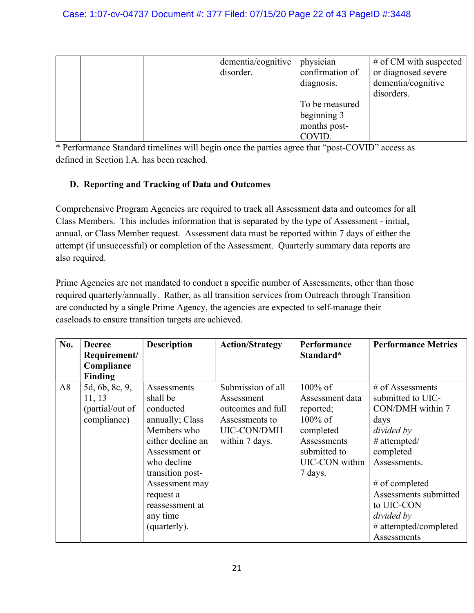|  | dementia/cognitive | physician       | # of CM with suspected |
|--|--------------------|-----------------|------------------------|
|  | disorder.          | confirmation of | or diagnosed severe    |
|  |                    | diagnosis.      | dementia/cognitive     |
|  |                    |                 | disorders.             |
|  |                    | To be measured  |                        |
|  |                    | beginning 3     |                        |
|  |                    | months post-    |                        |
|  |                    | COVID.          |                        |

#### D. Reporting and Tracking of Data and Outcomes

Comprehensive Program Agencies are required to track all Assessment data and outcomes for all Class Members. This includes information that is separated by the type of Assessment - initial, annual, or Class Member request. Assessment data must be reported within 7 days of either the attempt (if unsuccessful) or completion of the Assessment. Quarterly summary data reports are also required.

Prime Agencies are not mandated to conduct a specific number of Assessments, other than those required quarterly/annually. Rather, as all transition services from Outreach through Transition are conducted by a single Prime Agency, the agencies are expected to self-manage their caseloads to ensure transition targets are achieved.

| No. | <b>Decree</b>   | <b>Description</b> | <b>Action/Strategy</b> | Performance     | <b>Performance Metrics</b> |
|-----|-----------------|--------------------|------------------------|-----------------|----------------------------|
|     | Requirement/    |                    |                        | Standard*       |                            |
|     | Compliance      |                    |                        |                 |                            |
|     | Finding         |                    |                        |                 |                            |
| A8  | 5d, 6b, 8c, 9,  | Assessments        | Submission of all      | $100\%$ of      | $#$ of Assessments         |
|     | 11, 13          | shall be           | Assessment             | Assessment data | submitted to UIC-          |
|     | (partial/out of | conducted          | outcomes and full      | reported;       | CON/DMH within 7           |
|     | compliance)     | annually; Class    | Assessments to         | $100\%$ of      | days                       |
|     |                 | Members who        | <b>UIC-CON/DMH</b>     | completed       | divided by                 |
|     |                 | either decline an  | within 7 days.         | Assessments     | # attempted/               |
|     |                 | Assessment or      |                        | submitted to    | completed                  |
|     |                 | who decline        |                        | UIC-CON within  | Assessments.               |
|     |                 | transition post-   |                        | 7 days.         |                            |
|     |                 | Assessment may     |                        |                 | # of completed             |
|     |                 | request a          |                        |                 | Assessments submitted      |
|     |                 | reassessment at    |                        |                 | to UIC-CON                 |
|     |                 | any time           |                        |                 | divided by                 |
|     |                 | (quarterly).       |                        |                 | # attempted/completed      |
|     |                 |                    |                        |                 | Assessments                |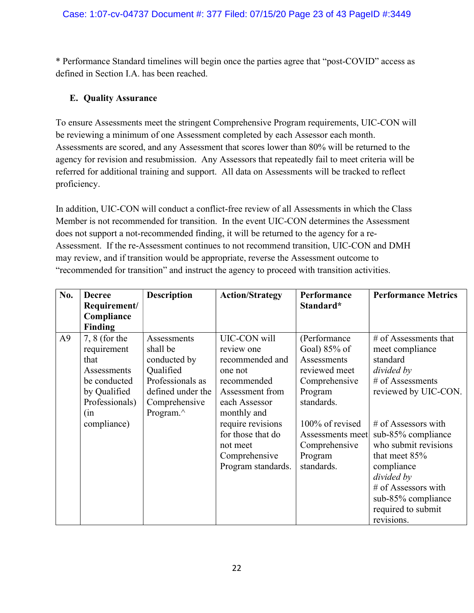## E. Quality Assurance

To ensure Assessments meet the stringent Comprehensive Program requirements, UIC-CON will be reviewing a minimum of one Assessment completed by each Assessor each month. Assessments are scored, and any Assessment that scores lower than 80% will be returned to the agency for revision and resubmission. Any Assessors that repeatedly fail to meet criteria will be referred for additional training and support. All data on Assessments will be tracked to reflect proficiency.

In addition, UIC-CON will conduct a conflict-free review of all Assessments in which the Class Member is not recommended for transition. In the event UIC-CON determines the Assessment does not support a not-recommended finding, it will be returned to the agency for a re-Assessment. If the re-Assessment continues to not recommend transition, UIC-CON and DMH may review, and if transition would be appropriate, reverse the Assessment outcome to "recommended for transition" and instruct the agency to proceed with transition activities.

| No.            | <b>Decree</b>   | <b>Description</b> | <b>Action/Strategy</b> | Performance        | <b>Performance Metrics</b> |
|----------------|-----------------|--------------------|------------------------|--------------------|----------------------------|
|                | Requirement/    |                    |                        | Standard*          |                            |
|                | Compliance      |                    |                        |                    |                            |
|                | <b>Finding</b>  |                    |                        |                    |                            |
| A <sup>9</sup> | $7, 8$ (for the | Assessments        | UIC-CON will           | (Performance       | $#$ of Assessments that    |
|                | requirement     | shall be           | review one             | Goal) $85\%$ of    | meet compliance            |
|                | that            | conducted by       | recommended and        | <b>Assessments</b> | standard                   |
|                | Assessments     | Qualified          | one not                | reviewed meet      | divided by                 |
|                | be conducted    | Professionals as   | recommended            | Comprehensive      | # of Assessments           |
|                | by Qualified    | defined under the  | Assessment from        | Program            | reviewed by UIC-CON.       |
|                | Professionals)  | Comprehensive      | each Assessor          | standards.         |                            |
|                | (in             | Program.^          | monthly and            |                    |                            |
|                | compliance)     |                    | require revisions      | 100% of revised    | $#$ of Assessors with      |
|                |                 |                    | for those that do      | Assessments meet   | sub-85% compliance         |
|                |                 |                    | not meet               | Comprehensive      | who submit revisions       |
|                |                 |                    | Comprehensive          | Program            | that meet $85%$            |
|                |                 |                    | Program standards.     | standards.         | compliance                 |
|                |                 |                    |                        |                    | divided by                 |
|                |                 |                    |                        |                    | # of Assessors with        |
|                |                 |                    |                        |                    | sub-85% compliance         |
|                |                 |                    |                        |                    | required to submit         |
|                |                 |                    |                        |                    | revisions.                 |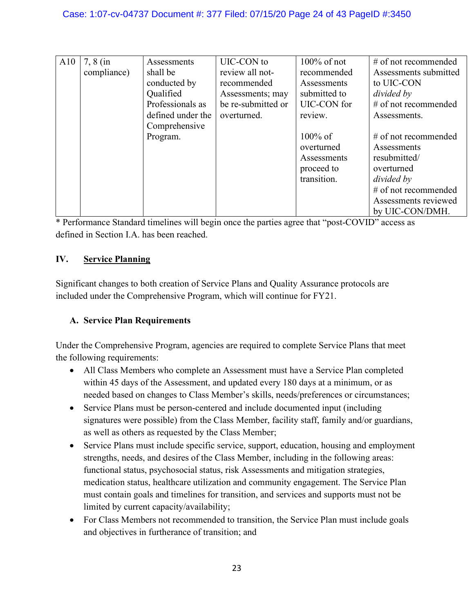| A10 | $7, 8$ (in  | Assessments       | UIC-CON to         | $100\%$ of not | $#$ of not recommended |
|-----|-------------|-------------------|--------------------|----------------|------------------------|
|     | compliance) | shall be          | review all not-    | recommended    | Assessments submitted  |
|     |             | conducted by      | recommended        | Assessments    | to UIC-CON             |
|     |             | Qualified         | Assessments; may   | submitted to   | divided by             |
|     |             | Professionals as  | be re-submitted or | UIC-CON for    | # of not recommended   |
|     |             | defined under the | overturned.        | review.        | Assessments.           |
|     |             | Comprehensive     |                    |                |                        |
|     |             | Program.          |                    | $100\%$ of     | $#$ of not recommended |
|     |             |                   |                    | overturned     | Assessments            |
|     |             |                   |                    | Assessments    | resubmitted/           |
|     |             |                   |                    | proceed to     | overturned             |
|     |             |                   |                    | transition.    | divided by             |
|     |             |                   |                    |                | $#$ of not recommended |
|     |             |                   |                    |                | Assessments reviewed   |
|     |             |                   |                    |                | by UIC-CON/DMH.        |

# IV. Service Planning

Significant changes to both creation of Service Plans and Quality Assurance protocols are included under the Comprehensive Program, which will continue for FY21.

# A. Service Plan Requirements

Under the Comprehensive Program, agencies are required to complete Service Plans that meet the following requirements:

- All Class Members who complete an Assessment must have a Service Plan completed within 45 days of the Assessment, and updated every 180 days at a minimum, or as needed based on changes to Class Member's skills, needs/preferences or circumstances;
- Service Plans must be person-centered and include documented input (including signatures were possible) from the Class Member, facility staff, family and/or guardians, as well as others as requested by the Class Member;
- Service Plans must include specific service, support, education, housing and employment strengths, needs, and desires of the Class Member, including in the following areas: functional status, psychosocial status, risk Assessments and mitigation strategies, medication status, healthcare utilization and community engagement. The Service Plan must contain goals and timelines for transition, and services and supports must not be limited by current capacity/availability;
- For Class Members not recommended to transition, the Service Plan must include goals and objectives in furtherance of transition; and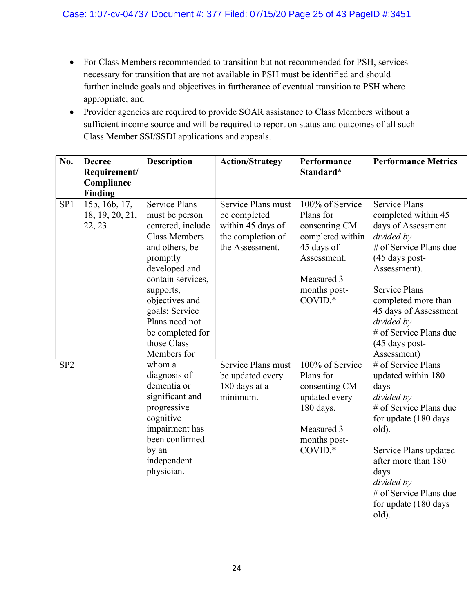- For Class Members recommended to transition but not recommended for PSH, services necessary for transition that are not available in PSH must be identified and should further include goals and objectives in furtherance of eventual transition to PSH where appropriate; and
- Provider agencies are required to provide SOAR assistance to Class Members without a sufficient income source and will be required to report on status and outcomes of all such Class Member SSI/SSDI applications and appeals.

| No.             | <b>Decree</b><br>Requirement/<br>Compliance<br>Finding | <b>Description</b>                                                                                                                                                                                                                                                           | <b>Action/Strategy</b>                                                                          | Performance<br>Standard*                                                                                                                | <b>Performance Metrics</b>                                                                                                                                                                                                                                                                   |
|-----------------|--------------------------------------------------------|------------------------------------------------------------------------------------------------------------------------------------------------------------------------------------------------------------------------------------------------------------------------------|-------------------------------------------------------------------------------------------------|-----------------------------------------------------------------------------------------------------------------------------------------|----------------------------------------------------------------------------------------------------------------------------------------------------------------------------------------------------------------------------------------------------------------------------------------------|
| SP <sub>1</sub> | 15b, 16b, 17,<br>18, 19, 20, 21,<br>22, 23             | <b>Service Plans</b><br>must be person<br>centered, include<br><b>Class Members</b><br>and others, be<br>promptly<br>developed and<br>contain services,<br>supports,<br>objectives and<br>goals; Service<br>Plans need not<br>be completed for<br>those Class<br>Members for | Service Plans must<br>be completed<br>within 45 days of<br>the completion of<br>the Assessment. | 100% of Service<br>Plans for<br>consenting CM<br>completed within<br>45 days of<br>Assessment.<br>Measured 3<br>months post-<br>COVID.* | <b>Service Plans</b><br>completed within 45<br>days of Assessment<br>divided by<br># of Service Plans due<br>(45 days post-<br>Assessment).<br><b>Service Plans</b><br>completed more than<br>45 days of Assessment<br>divided by<br># of Service Plans due<br>(45 days post-<br>Assessment) |
| SP <sub>2</sub> |                                                        | whom a<br>diagnosis of<br>dementia or<br>significant and<br>progressive<br>cognitive<br>impairment has<br>been confirmed<br>by an<br>independent<br>physician.                                                                                                               | Service Plans must<br>be updated every<br>180 days at a<br>minimum.                             | 100% of Service<br>Plans for<br>consenting CM<br>updated every<br>180 days.<br>Measured 3<br>months post-<br>COVID.*                    | # of Service Plans<br>updated within 180<br>days<br>divided by<br># of Service Plans due<br>for update (180 days<br>old).<br>Service Plans updated<br>after more than 180<br>days<br>divided by<br># of Service Plans due<br>for update (180 days<br>old).                                   |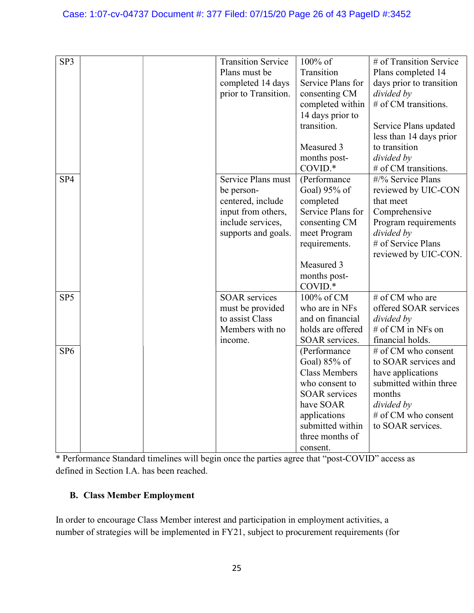| SP3             | <b>Transition Service</b><br>Plans must be<br>completed 14 days<br>prior to Transition.                                 | $100\%$ of<br>Transition<br>Service Plans for<br>consenting CM<br>completed within<br>14 days prior to<br>transition.<br>Measured 3<br>months post-<br>COVID.*                 | # of Transition Service<br>Plans completed 14<br>days prior to transition<br>divided by<br># of CM transitions.<br>Service Plans updated<br>less than 14 days prior<br>to transition<br>divided by<br># of CM transitions. |
|-----------------|-------------------------------------------------------------------------------------------------------------------------|--------------------------------------------------------------------------------------------------------------------------------------------------------------------------------|----------------------------------------------------------------------------------------------------------------------------------------------------------------------------------------------------------------------------|
| SP <sub>4</sub> | Service Plans must<br>be person-<br>centered, include<br>input from others,<br>include services,<br>supports and goals. | (Performance<br>Goal) 95% of<br>completed<br>Service Plans for<br>consenting CM<br>meet Program<br>requirements.<br>Measured 3<br>months post-<br>COVID.*                      | #/% Service Plans<br>reviewed by UIC-CON<br>that meet<br>Comprehensive<br>Program requirements<br>divided by<br># of Service Plans<br>reviewed by UIC-CON.                                                                 |
| SP <sub>5</sub> | <b>SOAR</b> services<br>must be provided<br>to assist Class<br>Members with no<br>income.                               | 100% of CM<br>who are in NFs<br>and on financial<br>holds are offered<br>SOAR services.                                                                                        | # of CM who are<br>offered SOAR services<br>divided by<br># of CM in NFs on<br>financial holds.                                                                                                                            |
| SP <sub>6</sub> |                                                                                                                         | (Performance<br>Goal) 85% of<br><b>Class Members</b><br>who consent to<br><b>SOAR</b> services<br>have SOAR<br>applications<br>submitted within<br>three months of<br>consent. | # of CM who consent<br>to SOAR services and<br>have applications<br>submitted within three<br>months<br>divided by<br># of CM who consent<br>to SOAR services.                                                             |

# B. Class Member Employment

In order to encourage Class Member interest and participation in employment activities, a number of strategies will be implemented in FY21, subject to procurement requirements (for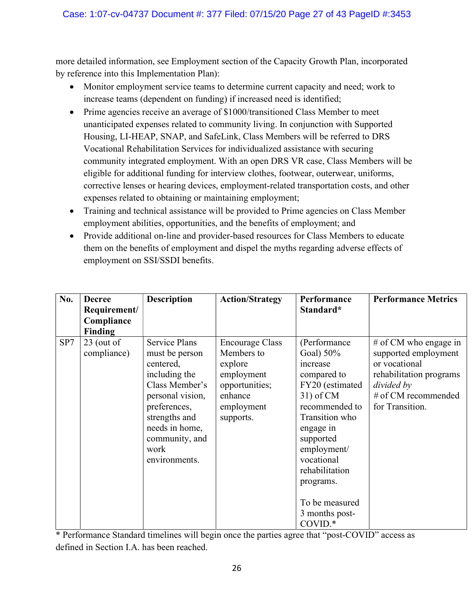more detailed information, see Employment section of the Capacity Growth Plan, incorporated by reference into this Implementation Plan):

- Monitor employment service teams to determine current capacity and need; work to increase teams (dependent on funding) if increased need is identified;
- Prime agencies receive an average of \$1000/transitioned Class Member to meet unanticipated expenses related to community living. In conjunction with Supported Housing, LI-HEAP, SNAP, and SafeLink, Class Members will be referred to DRS Vocational Rehabilitation Services for individualized assistance with securing community integrated employment. With an open DRS VR case, Class Members will be eligible for additional funding for interview clothes, footwear, outerwear, uniforms, corrective lenses or hearing devices, employment-related transportation costs, and other expenses related to obtaining or maintaining employment;
- Training and technical assistance will be provided to Prime agencies on Class Member employment abilities, opportunities, and the benefits of employment; and
- Provide additional on-line and provider-based resources for Class Members to educate them on the benefits of employment and dispel the myths regarding adverse effects of employment on SSI/SSDI benefits.

| No. | <b>Decree</b><br>Requirement/<br>Compliance | <b>Description</b>                                                                                                                                                                                       | <b>Action/Strategy</b>                                                                                                | Performance<br>Standard*                                                                                                                                                                                                                                              | <b>Performance Metrics</b>                                                                                                                          |
|-----|---------------------------------------------|----------------------------------------------------------------------------------------------------------------------------------------------------------------------------------------------------------|-----------------------------------------------------------------------------------------------------------------------|-----------------------------------------------------------------------------------------------------------------------------------------------------------------------------------------------------------------------------------------------------------------------|-----------------------------------------------------------------------------------------------------------------------------------------------------|
|     | Finding                                     |                                                                                                                                                                                                          |                                                                                                                       |                                                                                                                                                                                                                                                                       |                                                                                                                                                     |
| SP7 | $23$ (out of<br>compliance)                 | <b>Service Plans</b><br>must be person<br>centered,<br>including the<br>Class Member's<br>personal vision,<br>preferences,<br>strengths and<br>needs in home,<br>community, and<br>work<br>environments. | <b>Encourage Class</b><br>Members to<br>explore<br>employment<br>opportunities;<br>enhance<br>employment<br>supports. | (Performance)<br>Goal) $50\%$<br>increase<br>compared to<br>FY20 (estimated<br>$31)$ of CM<br>recommended to<br>Transition who<br>engage in<br>supported<br>employment/<br>vocational<br>rehabilitation<br>programs.<br>To be measured<br>3 months post-<br>$COVID.*$ | $#$ of CM who engage in<br>supported employment<br>or vocational<br>rehabilitation programs<br>divided by<br># of CM recommended<br>for Transition. |

\* Performance Standard timelines will begin once the parties agree that "post-COVID" access as defined in Section I.A. has been reached.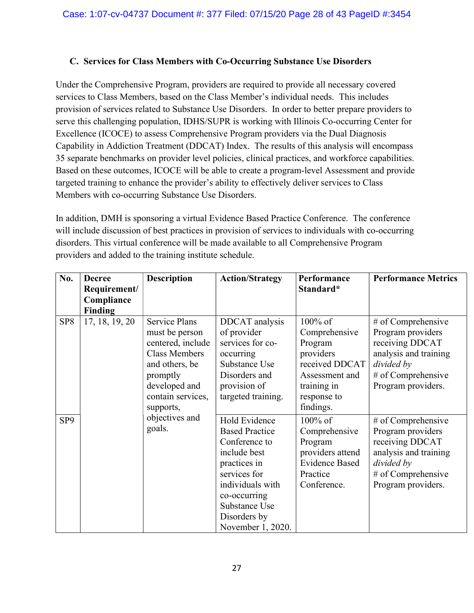#### C. Services for Class Members with Co-Occurring Substance Use Disorders

Under the Comprehensive Program, providers are required to provide all necessary covered services to Class Members, based on the Class Member's individual needs. This includes provision of services related to Substance Use Disorders. In order to better prepare providers to serve this challenging population, IDHS/SUPR is working with Illinois Co-occurring Center for Excellence (ICOCE) to assess Comprehensive Program providers via the Dual Diagnosis Capability in Addiction Treatment (DDCAT) Index. The results of this analysis will encompass 35 separate benchmarks on provider level policies, clinical practices, and workforce capabilities. Based on these outcomes, ICOCE will be able to create a program-level Assessment and provide targeted training to enhance the provider's ability to effectively deliver services to Class Members with co-occurring Substance Use Disorders.

In addition, DMH is sponsoring a virtual Evidence Based Practice Conference. The conference will include discussion of best practices in provision of services to individuals with co-occurring disorders. This virtual conference will be made available to all Comprehensive Program providers and added to the training institute schedule.

| No.             | <b>Decree</b>  | <b>Description</b>   | <b>Action/Strategy</b> | Performance           | <b>Performance Metrics</b> |
|-----------------|----------------|----------------------|------------------------|-----------------------|----------------------------|
|                 | Requirement/   |                      |                        | Standard*             |                            |
|                 | Compliance     |                      |                        |                       |                            |
|                 | Finding        |                      |                        |                       |                            |
| SP <sub>8</sub> | 17, 18, 19, 20 | <b>Service Plans</b> | DDCAT analysis         | 100% of               | # of Comprehensive         |
|                 |                | must be person       | of provider            | Comprehensive         | Program providers          |
|                 |                | centered, include    | services for co-       | Program               | receiving DDCAT            |
|                 |                | <b>Class Members</b> | occurring              | providers             | analysis and training      |
|                 |                | and others, be       | Substance Use          | received DDCAT        | divided by                 |
|                 |                | promptly             | Disorders and          | Assessment and        | # of Comprehensive         |
|                 |                | developed and        | provision of           | training in           | Program providers.         |
|                 |                | contain services,    | targeted training.     | response to           |                            |
|                 |                | supports,            |                        | findings.             |                            |
| SP <sub>9</sub> |                | objectives and       | Hold Evidence          | $100\%$ of            | # of Comprehensive         |
|                 |                | goals.               | <b>Based Practice</b>  | Comprehensive         | Program providers          |
|                 |                |                      | Conference to          | Program               | receiving DDCAT            |
|                 |                |                      | include best           | providers attend      | analysis and training      |
|                 |                |                      | practices in           | <b>Evidence Based</b> | divided by                 |
|                 |                |                      | services for           | Practice              | # of Comprehensive         |
|                 |                |                      | individuals with       | Conference.           | Program providers.         |
|                 |                |                      | co-occurring           |                       |                            |
|                 |                |                      | Substance Use          |                       |                            |
|                 |                |                      | Disorders by           |                       |                            |
|                 |                |                      | November 1, 2020.      |                       |                            |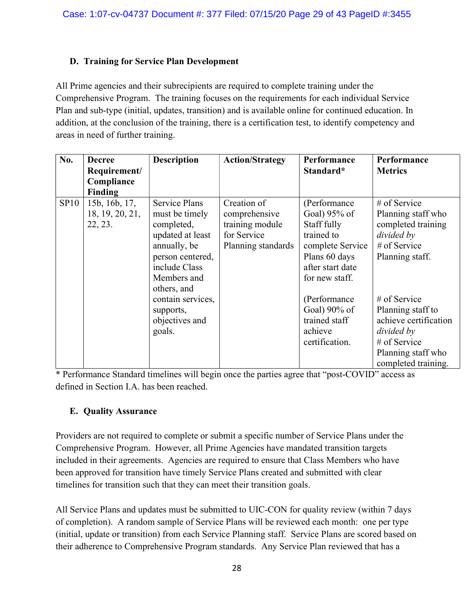# D. Training for Service Plan Development

All Prime agencies and their subrecipients are required to complete training under the Comprehensive Program. The training focuses on the requirements for each individual Service Plan and sub-type (initial, updates, transition) and is available online for continued education. In addition, at the conclusion of the training, there is a certification test, to identify competency and areas in need of further training.

| No.  | <b>Decree</b><br>Requirement/<br>Compliance<br>Finding | <b>Description</b>                                                                                                                                                                                                        | <b>Action/Strategy</b>                                                               | Performance<br>Standard*                                                                                                                                                                                            | Performance<br><b>Metrics</b>                                                                                                                                                                                                                        |
|------|--------------------------------------------------------|---------------------------------------------------------------------------------------------------------------------------------------------------------------------------------------------------------------------------|--------------------------------------------------------------------------------------|---------------------------------------------------------------------------------------------------------------------------------------------------------------------------------------------------------------------|------------------------------------------------------------------------------------------------------------------------------------------------------------------------------------------------------------------------------------------------------|
| SP10 | 15b, 16b, 17,<br>18, 19, 20, 21,<br>22, 23.            | <b>Service Plans</b><br>must be timely<br>completed,<br>updated at least<br>annually, be<br>person centered,<br>include Class<br>Members and<br>others, and<br>contain services,<br>supports,<br>objectives and<br>goals. | Creation of<br>comprehensive<br>training module<br>for Service<br>Planning standards | (Performance<br>Goal) 95% of<br>Staff fully<br>trained to<br>complete Service<br>Plans 60 days<br>after start date<br>for new staff.<br>(Performance)<br>Goal) 90% of<br>trained staff<br>achieve<br>certification. | # of Service<br>Planning staff who<br>completed training<br>divided by<br># of Service<br>Planning staff.<br>$#$ of Service<br>Planning staff to<br>achieve certification<br>divided by<br># of Service<br>Planning staff who<br>completed training. |

\* Performance Standard timelines will begin once the parties agree that "post-COVID" access as defined in Section I.A. has been reached.

# E. Quality Assurance

Providers are not required to complete or submit a specific number of Service Plans under the Comprehensive Program. However, all Prime Agencies have mandated transition targets included in their agreements. Agencies are required to ensure that Class Members who have been approved for transition have timely Service Plans created and submitted with clear timelines for transition such that they can meet their transition goals.

All Service Plans and updates must be submitted to UIC-CON for quality review (within 7 days of completion). A random sample of Service Plans will be reviewed each month: one per type (initial, update or transition) from each Service Planning staff. Service Plans are scored based on their adherence to Comprehensive Program standards. Any Service Plan reviewed that has a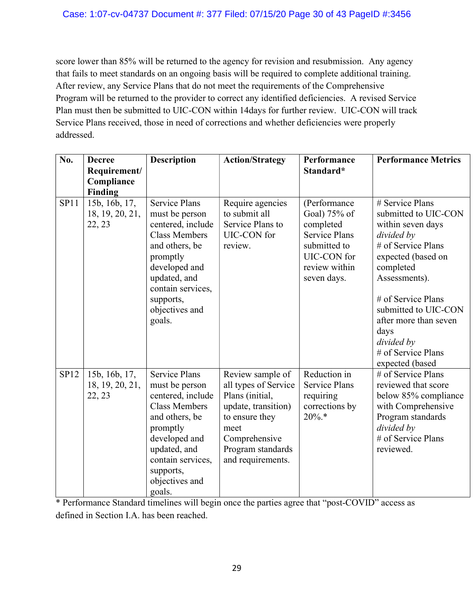score lower than 85% will be returned to the agency for revision and resubmission. Any agency that fails to meet standards on an ongoing basis will be required to complete additional training. After review, any Service Plans that do not meet the requirements of the Comprehensive Program will be returned to the provider to correct any identified deficiencies. A revised Service Plan must then be submitted to UIC-CON within 14days for further review. UIC-CON will track Service Plans received, those in need of corrections and whether deficiencies were properly addressed.

| No.         | <b>Decree</b><br>Requirement/              | <b>Description</b>                                                                                                                                                                                               | <b>Action/Strategy</b>                                                                                                                                                  | Performance<br>Standard*                                                                                                         | <b>Performance Metrics</b>                                                                                                                                                                                                                                                                 |
|-------------|--------------------------------------------|------------------------------------------------------------------------------------------------------------------------------------------------------------------------------------------------------------------|-------------------------------------------------------------------------------------------------------------------------------------------------------------------------|----------------------------------------------------------------------------------------------------------------------------------|--------------------------------------------------------------------------------------------------------------------------------------------------------------------------------------------------------------------------------------------------------------------------------------------|
|             | Compliance                                 |                                                                                                                                                                                                                  |                                                                                                                                                                         |                                                                                                                                  |                                                                                                                                                                                                                                                                                            |
|             | <b>Finding</b>                             |                                                                                                                                                                                                                  |                                                                                                                                                                         |                                                                                                                                  |                                                                                                                                                                                                                                                                                            |
| SP11        | 15b, 16b, 17,<br>18, 19, 20, 21,<br>22, 23 | <b>Service Plans</b><br>must be person<br>centered, include<br><b>Class Members</b><br>and others, be<br>promptly<br>developed and<br>updated, and<br>contain services,<br>supports,<br>objectives and<br>goals. | Require agencies<br>to submit all<br>Service Plans to<br>UIC-CON for<br>review.                                                                                         | (Performance<br>Goal) 75% of<br>completed<br><b>Service Plans</b><br>submitted to<br>UIC-CON for<br>review within<br>seven days. | # Service Plans<br>submitted to UIC-CON<br>within seven days<br>divided by<br># of Service Plans<br>expected (based on<br>completed<br>Assessments).<br># of Service Plans<br>submitted to UIC-CON<br>after more than seven<br>days<br>divided by<br># of Service Plans<br>expected (based |
| <b>SP12</b> | 15b, 16b, 17,<br>18, 19, 20, 21,<br>22, 23 | <b>Service Plans</b><br>must be person<br>centered, include<br><b>Class Members</b><br>and others, be<br>promptly<br>developed and<br>updated, and<br>contain services,<br>supports,<br>objectives and<br>goals. | Review sample of<br>all types of Service<br>Plans (initial,<br>update, transition)<br>to ensure they<br>meet<br>Comprehensive<br>Program standards<br>and requirements. | Reduction in<br><b>Service Plans</b><br>requiring<br>corrections by<br>$20\%.*$                                                  | # of Service Plans<br>reviewed that score<br>below 85% compliance<br>with Comprehensive<br>Program standards<br>divided by<br># of Service Plans<br>reviewed.                                                                                                                              |

\* Performance Standard timelines will begin once the parties agree that "post-COVID" access as defined in Section I.A. has been reached.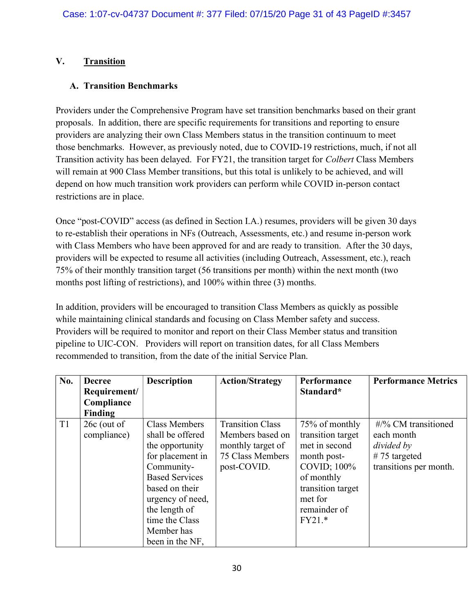## V. Transition

#### A. Transition Benchmarks

Providers under the Comprehensive Program have set transition benchmarks based on their grant proposals. In addition, there are specific requirements for transitions and reporting to ensure providers are analyzing their own Class Members status in the transition continuum to meet those benchmarks. However, as previously noted, due to COVID-19 restrictions, much, if not all Transition activity has been delayed. For FY21, the transition target for Colbert Class Members will remain at 900 Class Member transitions, but this total is unlikely to be achieved, and will depend on how much transition work providers can perform while COVID in-person contact restrictions are in place.

Once "post-COVID" access (as defined in Section I.A.) resumes, providers will be given 30 days to re-establish their operations in NFs (Outreach, Assessments, etc.) and resume in-person work with Class Members who have been approved for and are ready to transition. After the 30 days, providers will be expected to resume all activities (including Outreach, Assessment, etc.), reach 75% of their monthly transition target (56 transitions per month) within the next month (two months post lifting of restrictions), and 100% within three (3) months.

In addition, providers will be encouraged to transition Class Members as quickly as possible while maintaining clinical standards and focusing on Class Member safety and success. Providers will be required to monitor and report on their Class Member status and transition pipeline to UIC-CON. Providers will report on transition dates, for all Class Members recommended to transition, from the date of the initial Service Plan.

| No.            | <b>Decree</b><br>Requirement/ | <b>Description</b>                                                                                                                                                                                                        | <b>Action/Strategy</b>                                                                              | Performance<br>Standard*                                                                                                                                     | <b>Performance Metrics</b>                                                                                    |
|----------------|-------------------------------|---------------------------------------------------------------------------------------------------------------------------------------------------------------------------------------------------------------------------|-----------------------------------------------------------------------------------------------------|--------------------------------------------------------------------------------------------------------------------------------------------------------------|---------------------------------------------------------------------------------------------------------------|
|                | Compliance                    |                                                                                                                                                                                                                           |                                                                                                     |                                                                                                                                                              |                                                                                                               |
|                | Finding                       |                                                                                                                                                                                                                           |                                                                                                     |                                                                                                                                                              |                                                                                                               |
| T <sub>1</sub> | $26c$ (out of<br>compliance)  | Class Members<br>shall be offered<br>the opportunity<br>for placement in<br>Community-<br><b>Based Services</b><br>based on their<br>urgency of need,<br>the length of<br>time the Class<br>Member has<br>been in the NF, | <b>Transition Class</b><br>Members based on<br>monthly target of<br>75 Class Members<br>post-COVID. | 75% of monthly<br>transition target<br>met in second<br>month post-<br>COVID; 100%<br>of monthly<br>transition target<br>met for<br>remainder of<br>$FY21.*$ | $\frac{\text{H}}{96}$ CM transitioned<br>each month<br>divided by<br>$#75$ targeted<br>transitions per month. |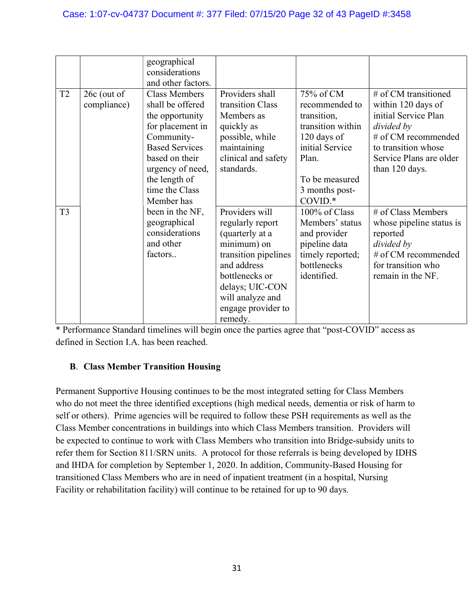|                |                              | geographical<br>considerations                                                                                                                                                |                                                                                                                                                                                                       |                                                                                                                              |                                                                                                                                                                             |
|----------------|------------------------------|-------------------------------------------------------------------------------------------------------------------------------------------------------------------------------|-------------------------------------------------------------------------------------------------------------------------------------------------------------------------------------------------------|------------------------------------------------------------------------------------------------------------------------------|-----------------------------------------------------------------------------------------------------------------------------------------------------------------------------|
|                |                              | and other factors.                                                                                                                                                            |                                                                                                                                                                                                       |                                                                                                                              |                                                                                                                                                                             |
| T <sub>2</sub> | $26c$ (out of<br>compliance) | <b>Class Members</b><br>shall be offered<br>the opportunity<br>for placement in<br>Community-<br><b>Based Services</b><br>based on their<br>urgency of need,<br>the length of | Providers shall<br>transition Class<br>Members as<br>quickly as<br>possible, while<br>maintaining<br>clinical and safety<br>standards.                                                                | 75% of CM<br>recommended to<br>transition,<br>transition within<br>120 days of<br>initial Service<br>Plan.<br>To be measured | # of CM transitioned<br>within 120 days of<br>initial Service Plan<br>divided by<br># of CM recommended<br>to transition whose<br>Service Plans are older<br>than 120 days. |
|                |                              | time the Class<br>Member has                                                                                                                                                  |                                                                                                                                                                                                       | 3 months post-<br>COVID.*                                                                                                    |                                                                                                                                                                             |
| T <sub>3</sub> |                              | been in the NF,<br>geographical<br>considerations<br>and other<br>factors                                                                                                     | Providers will<br>regularly report<br>(quarterly at a<br>minimum) on<br>transition pipelines<br>and address<br>bottlenecks or<br>delays; UIC-CON<br>will analyze and<br>engage provider to<br>remedy. | 100% of Class<br>Members' status<br>and provider<br>pipeline data<br>timely reported;<br>bottlenecks<br>identified.          | # of Class Members<br>whose pipeline status is<br>reported<br>divided by<br># of CM recommended<br>for transition who<br>remain in the NF.                                  |

# B. Class Member Transition Housing

Permanent Supportive Housing continues to be the most integrated setting for Class Members who do not meet the three identified exceptions (high medical needs, dementia or risk of harm to self or others). Prime agencies will be required to follow these PSH requirements as well as the Class Member concentrations in buildings into which Class Members transition. Providers will be expected to continue to work with Class Members who transition into Bridge-subsidy units to refer them for Section 811/SRN units. A protocol for those referrals is being developed by IDHS and IHDA for completion by September 1, 2020. In addition, Community-Based Housing for transitioned Class Members who are in need of inpatient treatment (in a hospital, Nursing Facility or rehabilitation facility) will continue to be retained for up to 90 days.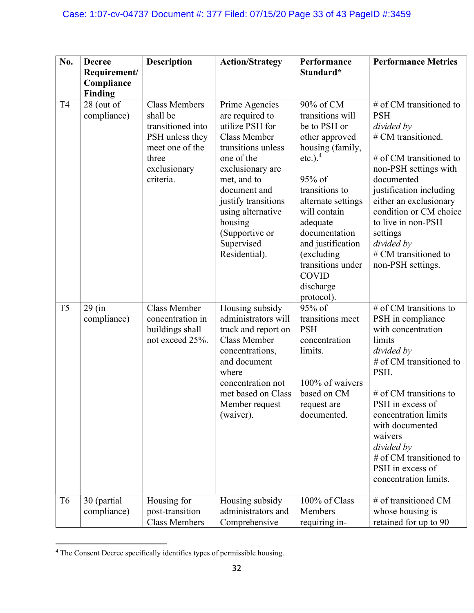| No.            | <b>Decree</b><br>Requirement/<br>Compliance<br>Finding | <b>Description</b>                                                                                                                | <b>Action/Strategy</b>                                                                                                                                                                                                                                                     | Performance<br>Standard*                                                                                                                                                                                                                                                                               | <b>Performance Metrics</b>                                                                                                                                                                                                                                                                                               |
|----------------|--------------------------------------------------------|-----------------------------------------------------------------------------------------------------------------------------------|----------------------------------------------------------------------------------------------------------------------------------------------------------------------------------------------------------------------------------------------------------------------------|--------------------------------------------------------------------------------------------------------------------------------------------------------------------------------------------------------------------------------------------------------------------------------------------------------|--------------------------------------------------------------------------------------------------------------------------------------------------------------------------------------------------------------------------------------------------------------------------------------------------------------------------|
| T <sub>4</sub> | 28 (out of<br>compliance)                              | <b>Class Members</b><br>shall be<br>transitioned into<br>PSH unless they<br>meet one of the<br>three<br>exclusionary<br>criteria. | Prime Agencies<br>are required to<br>utilize PSH for<br><b>Class Member</b><br>transitions unless<br>one of the<br>exclusionary are<br>met, and to<br>document and<br>justify transitions<br>using alternative<br>housing<br>(Supportive or<br>Supervised<br>Residential). | 90% of CM<br>transitions will<br>be to PSH or<br>other approved<br>housing (family,<br>etc.). $4$<br>$95\%$ of<br>transitions to<br>alternate settings<br>will contain<br>adequate<br>documentation<br>and justification<br>(excluding<br>transitions under<br><b>COVID</b><br>discharge<br>protocol). | # of CM transitioned to<br><b>PSH</b><br>divided by<br># CM transitioned.<br># of CM transitioned to<br>non-PSH settings with<br>documented<br>justification including<br>either an exclusionary<br>condition or CM choice<br>to live in non-PSH<br>settings<br>divided by<br># CM transitioned to<br>non-PSH settings.  |
| T <sub>5</sub> | $29$ (in<br>compliance)                                | Class Member<br>concentration in<br>buildings shall<br>not exceed 25%.                                                            | Housing subsidy<br>administrators will<br>track and report on<br><b>Class Member</b><br>concentrations,<br>and document<br>where<br>concentration not<br>met based on Class<br>Member request<br>(waiver).                                                                 | 95% of<br>transitions meet<br><b>PSH</b><br>concentration<br>limits.<br>100% of waivers<br>based on CM<br>request are<br>documented.                                                                                                                                                                   | # of CM transitions to<br>PSH in compliance<br>with concentration<br>limits<br>divided by<br># of CM transitioned to<br>PSH.<br>$#$ of CM transitions to<br>PSH in excess of<br>concentration limits<br>with documented<br>waivers<br>divided by<br># of CM transitioned to<br>PSH in excess of<br>concentration limits. |
| T <sub>6</sub> | 30 (partial<br>compliance)                             | Housing for<br>post-transition<br><b>Class Members</b>                                                                            | Housing subsidy<br>administrators and<br>Comprehensive                                                                                                                                                                                                                     | 100% of Class<br>Members<br>requiring in-                                                                                                                                                                                                                                                              | # of transitioned CM<br>whose housing is<br>retained for up to 90                                                                                                                                                                                                                                                        |

<sup>&</sup>lt;sup>4</sup> The Consent Decree specifically identifies types of permissible housing.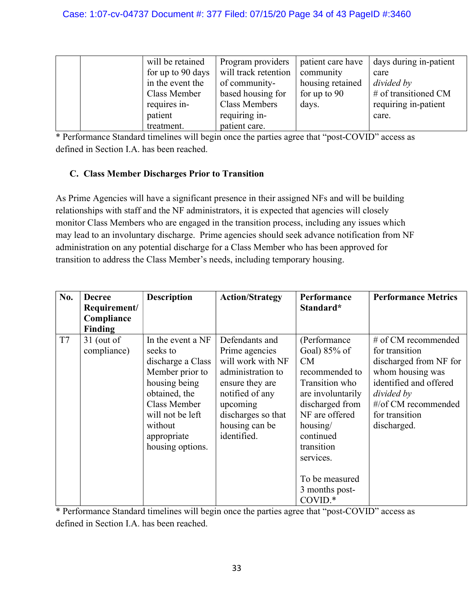| will be retained  | Program providers    | patient care have | days during in-patient |
|-------------------|----------------------|-------------------|------------------------|
| for up to 90 days | will track retention | community         | care                   |
| in the event the  | of community-        | housing retained  | divided by             |
| Class Member      | based housing for    | for up to $90$    | # of transitioned CM   |
| requires in-      | Class Members        | days.             | requiring in-patient   |
| patient           | requiring in-        |                   | care.                  |
| treatment.        | patient care.        |                   |                        |

#### C. Class Member Discharges Prior to Transition

As Prime Agencies will have a significant presence in their assigned NFs and will be building relationships with staff and the NF administrators, it is expected that agencies will closely monitor Class Members who are engaged in the transition process, including any issues which may lead to an involuntary discharge. Prime agencies should seek advance notification from NF administration on any potential discharge for a Class Member who has been approved for transition to address the Class Member's needs, including temporary housing.

| No. | <b>Decree</b><br>Requirement/ | <b>Description</b>                                                                                                                                                                        | <b>Action/Strategy</b>                                                                                                                                                              | Performance<br>Standard*                                                                                                                                                                                                               | <b>Performance Metrics</b>                                                                                                                                                          |
|-----|-------------------------------|-------------------------------------------------------------------------------------------------------------------------------------------------------------------------------------------|-------------------------------------------------------------------------------------------------------------------------------------------------------------------------------------|----------------------------------------------------------------------------------------------------------------------------------------------------------------------------------------------------------------------------------------|-------------------------------------------------------------------------------------------------------------------------------------------------------------------------------------|
|     | Compliance                    |                                                                                                                                                                                           |                                                                                                                                                                                     |                                                                                                                                                                                                                                        |                                                                                                                                                                                     |
|     | Finding                       |                                                                                                                                                                                           |                                                                                                                                                                                     |                                                                                                                                                                                                                                        |                                                                                                                                                                                     |
| T7  | $31$ (out of<br>compliance)   | In the event a NF<br>seeks to<br>discharge a Class<br>Member prior to<br>housing being<br>obtained, the<br>Class Member<br>will not be left<br>without<br>appropriate<br>housing options. | Defendants and<br>Prime agencies<br>will work with NF<br>administration to<br>ensure they are<br>notified of any<br>upcoming<br>discharges so that<br>housing can be<br>identified. | (Performance)<br>Goal) 85% of<br>CM<br>recommended to<br>Transition who<br>are involuntarily<br>discharged from<br>NF are offered<br>housing/<br>continued<br>transition<br>services.<br>To be measured<br>3 months post-<br>$COVID.*$ | # of CM recommended<br>for transition<br>discharged from NF for<br>whom housing was<br>identified and offered<br>divided by<br>#/of CM recommended<br>for transition<br>discharged. |

\* Performance Standard timelines will begin once the parties agree that "post-COVID" access as defined in Section I.A. has been reached.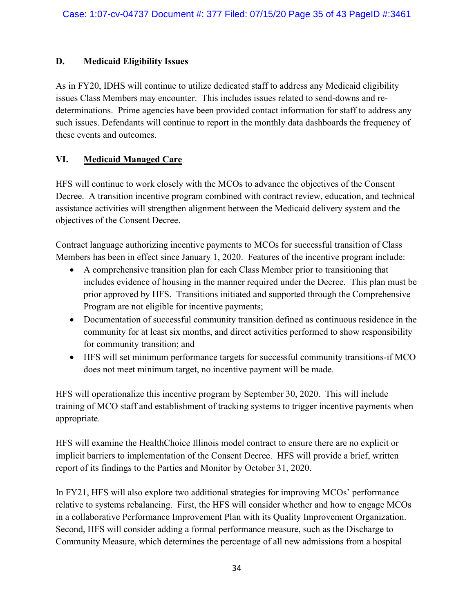#### D. Medicaid Eligibility Issues

As in FY20, IDHS will continue to utilize dedicated staff to address any Medicaid eligibility issues Class Members may encounter. This includes issues related to send-downs and redeterminations. Prime agencies have been provided contact information for staff to address any such issues. Defendants will continue to report in the monthly data dashboards the frequency of these events and outcomes.

# VI. Medicaid Managed Care

HFS will continue to work closely with the MCOs to advance the objectives of the Consent Decree. A transition incentive program combined with contract review, education, and technical assistance activities will strengthen alignment between the Medicaid delivery system and the objectives of the Consent Decree.

Contract language authorizing incentive payments to MCOs for successful transition of Class Members has been in effect since January 1, 2020. Features of the incentive program include:

- A comprehensive transition plan for each Class Member prior to transitioning that includes evidence of housing in the manner required under the Decree. This plan must be prior approved by HFS. Transitions initiated and supported through the Comprehensive Program are not eligible for incentive payments;
- Documentation of successful community transition defined as continuous residence in the community for at least six months, and direct activities performed to show responsibility for community transition; and
- HFS will set minimum performance targets for successful community transitions-if MCO does not meet minimum target, no incentive payment will be made.

HFS will operationalize this incentive program by September 30, 2020. This will include training of MCO staff and establishment of tracking systems to trigger incentive payments when appropriate.

HFS will examine the HealthChoice Illinois model contract to ensure there are no explicit or implicit barriers to implementation of the Consent Decree. HFS will provide a brief, written report of its findings to the Parties and Monitor by October 31, 2020.

In FY21, HFS will also explore two additional strategies for improving MCOs' performance relative to systems rebalancing. First, the HFS will consider whether and how to engage MCOs in a collaborative Performance Improvement Plan with its Quality Improvement Organization. Second, HFS will consider adding a formal performance measure, such as the Discharge to Community Measure, which determines the percentage of all new admissions from a hospital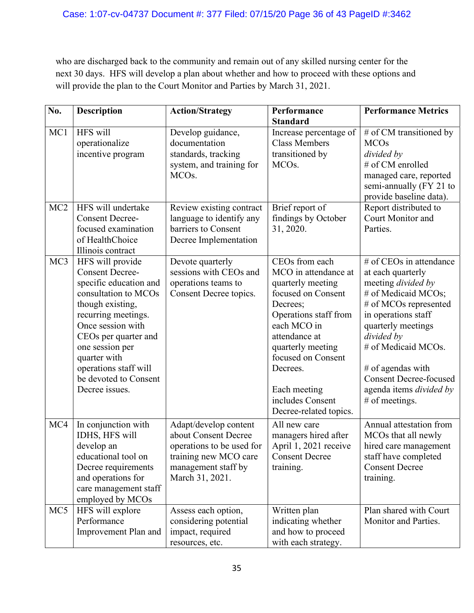who are discharged back to the community and remain out of any skilled nursing center for the next 30 days. HFS will develop a plan about whether and how to proceed with these options and will provide the plan to the Court Monitor and Parties by March 31, 2021.

| No.             | <b>Description</b>                                                                                                                                                                                                                                                                          | <b>Action/Strategy</b>                                                                                                                        | Performance                                                                                                                                                                                                                                                                 | <b>Performance Metrics</b>                                                                                                                                                                                                                                                                                       |
|-----------------|---------------------------------------------------------------------------------------------------------------------------------------------------------------------------------------------------------------------------------------------------------------------------------------------|-----------------------------------------------------------------------------------------------------------------------------------------------|-----------------------------------------------------------------------------------------------------------------------------------------------------------------------------------------------------------------------------------------------------------------------------|------------------------------------------------------------------------------------------------------------------------------------------------------------------------------------------------------------------------------------------------------------------------------------------------------------------|
| MC1             | HFS will<br>operationalize<br>incentive program                                                                                                                                                                                                                                             | Develop guidance,<br>documentation<br>standards, tracking<br>system, and training for<br>MCO <sub>s</sub> .                                   | <b>Standard</b><br>Increase percentage of<br><b>Class Members</b><br>transitioned by<br>MCO <sub>s</sub> .                                                                                                                                                                  | # of CM transitioned by<br><b>MCOs</b><br>divided by<br># of CM enrolled<br>managed care, reported<br>semi-annually (FY 21 to<br>provide baseline data).                                                                                                                                                         |
| MC <sub>2</sub> | HFS will undertake<br><b>Consent Decree-</b><br>focused examination<br>of HealthChoice<br>Illinois contract                                                                                                                                                                                 | Review existing contract<br>language to identify any<br>barriers to Consent<br>Decree Implementation                                          | Brief report of<br>findings by October<br>31, 2020.                                                                                                                                                                                                                         | Report distributed to<br>Court Monitor and<br>Parties.                                                                                                                                                                                                                                                           |
| MC <sub>3</sub> | HFS will provide<br><b>Consent Decree-</b><br>specific education and<br>consultation to MCOs<br>though existing,<br>recurring meetings.<br>Once session with<br>CEOs per quarter and<br>one session per<br>quarter with<br>operations staff will<br>be devoted to Consent<br>Decree issues. | Devote quarterly<br>sessions with CEOs and<br>operations teams to<br>Consent Decree topics.                                                   | CEOs from each<br>MCO in attendance at<br>quarterly meeting<br>focused on Consent<br>Decrees;<br>Operations staff from<br>each MCO in<br>attendance at<br>quarterly meeting<br>focused on Consent<br>Decrees.<br>Each meeting<br>includes Consent<br>Decree-related topics. | # of CEOs in attendance<br>at each quarterly<br>meeting <i>divided</i> by<br># of Medicaid MCOs;<br># of MCOs represented<br>in operations staff<br>quarterly meetings<br>divided by<br># of Medicaid MCOs.<br># of agendas with<br><b>Consent Decree-focused</b><br>agenda items divided by<br>$#$ of meetings. |
| MC4             | In conjunction with<br>IDHS, HFS will<br>develop an<br>educational tool on<br>Decree requirements<br>and operations for<br>care management staff<br>employed by MCOs                                                                                                                        | Adapt/develop content<br>about Consent Decree<br>operations to be used for<br>training new MCO care<br>management staff by<br>March 31, 2021. | All new care<br>managers hired after<br>April 1, 2021 receive<br><b>Consent Decree</b><br>training.                                                                                                                                                                         | Annual attestation from<br>MCOs that all newly<br>hired care management<br>staff have completed<br><b>Consent Decree</b><br>training.                                                                                                                                                                            |
| MC5             | HFS will explore<br>Performance<br>Improvement Plan and                                                                                                                                                                                                                                     | Assess each option,<br>considering potential<br>impact, required<br>resources, etc.                                                           | Written plan<br>indicating whether<br>and how to proceed<br>with each strategy.                                                                                                                                                                                             | Plan shared with Court<br>Monitor and Parties.                                                                                                                                                                                                                                                                   |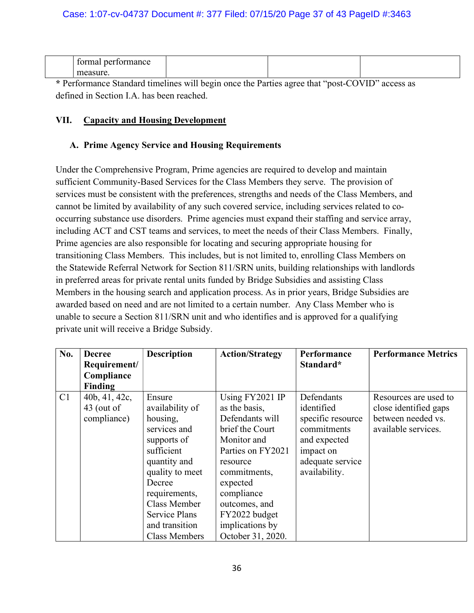| ------<br>n |  |  |
|-------------|--|--|
|             |  |  |

#### VII. Capacity and Housing Development

## A. Prime Agency Service and Housing Requirements

Under the Comprehensive Program, Prime agencies are required to develop and maintain sufficient Community-Based Services for the Class Members they serve. The provision of services must be consistent with the preferences, strengths and needs of the Class Members, and cannot be limited by availability of any such covered service, including services related to cooccurring substance use disorders. Prime agencies must expand their staffing and service array, including ACT and CST teams and services, to meet the needs of their Class Members. Finally, Prime agencies are also responsible for locating and securing appropriate housing for transitioning Class Members. This includes, but is not limited to, enrolling Class Members on the Statewide Referral Network for Section 811/SRN units, building relationships with landlords in preferred areas for private rental units funded by Bridge Subsidies and assisting Class Members in the housing search and application process. As in prior years, Bridge Subsidies are awarded based on need and are not limited to a certain number. Any Class Member who is unable to secure a Section 811/SRN unit and who identifies and is approved for a qualifying private unit will receive a Bridge Subsidy.

| No. | <b>Decree</b><br>Requirement/                | <b>Description</b>                                                                                                                                                                                  | <b>Action/Strategy</b>                                                                                                                                                                                                | Performance<br>Standard*                                                                                                       | <b>Performance Metrics</b>                                                                  |
|-----|----------------------------------------------|-----------------------------------------------------------------------------------------------------------------------------------------------------------------------------------------------------|-----------------------------------------------------------------------------------------------------------------------------------------------------------------------------------------------------------------------|--------------------------------------------------------------------------------------------------------------------------------|---------------------------------------------------------------------------------------------|
|     | Compliance                                   |                                                                                                                                                                                                     |                                                                                                                                                                                                                       |                                                                                                                                |                                                                                             |
|     | Finding                                      |                                                                                                                                                                                                     |                                                                                                                                                                                                                       |                                                                                                                                |                                                                                             |
| C1  | 40b, 41, 42c,<br>$43$ (out of<br>compliance) | Ensure<br>availability of<br>housing,<br>services and<br>supports of<br>sufficient<br>quantity and<br>quality to meet<br>Decree<br>requirements,<br>Class Member<br>Service Plans<br>and transition | Using FY2021 IP<br>as the basis,<br>Defendants will<br>brief the Court<br>Monitor and<br>Parties on FY2021<br>resource<br>commitments,<br>expected<br>compliance<br>outcomes, and<br>FY2022 budget<br>implications by | Defendants<br>identified<br>specific resource<br>commitments<br>and expected<br>impact on<br>adequate service<br>availability. | Resources are used to<br>close identified gaps<br>between needed vs.<br>available services. |
|     |                                              | <b>Class Members</b>                                                                                                                                                                                | October 31, 2020.                                                                                                                                                                                                     |                                                                                                                                |                                                                                             |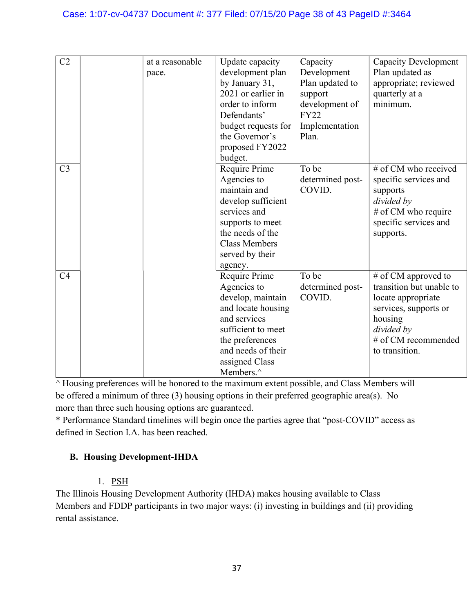#### Case: 1:07-cv-04737 Document #: 377 Filed: 07/15/20 Page 38 of 43 PageID #:3464

| C2             | at a reasonable | Update capacity      | Capacity         | <b>Capacity Development</b> |
|----------------|-----------------|----------------------|------------------|-----------------------------|
|                |                 |                      |                  |                             |
|                | pace.           | development plan     | Development      | Plan updated as             |
|                |                 | by January 31,       | Plan updated to  | appropriate; reviewed       |
|                |                 | 2021 or earlier in   | support          | quarterly at a              |
|                |                 | order to inform      | development of   | minimum.                    |
|                |                 | Defendants'          | <b>FY22</b>      |                             |
|                |                 | budget requests for  | Implementation   |                             |
|                |                 | the Governor's       | Plan.            |                             |
|                |                 | proposed FY2022      |                  |                             |
|                |                 | budget.              |                  |                             |
| C <sub>3</sub> |                 | Require Prime        | To be            | # of CM who received        |
|                |                 | Agencies to          | determined post- | specific services and       |
|                |                 | maintain and         | COVID.           | supports                    |
|                |                 | develop sufficient   |                  | divided by                  |
|                |                 | services and         |                  | # of CM who require         |
|                |                 | supports to meet     |                  | specific services and       |
|                |                 | the needs of the     |                  | supports.                   |
|                |                 | <b>Class Members</b> |                  |                             |
|                |                 | served by their      |                  |                             |
|                |                 | agency.              |                  |                             |
| C <sub>4</sub> |                 | Require Prime        | To be            | # of CM approved to         |
|                |                 | Agencies to          | determined post- | transition but unable to    |
|                |                 | develop, maintain    | COVID.           | locate appropriate          |
|                |                 | and locate housing   |                  | services, supports or       |
|                |                 | and services         |                  | housing                     |
|                |                 | sufficient to meet   |                  | divided by                  |
|                |                 | the preferences      |                  | # of CM recommended         |
|                |                 | and needs of their   |                  | to transition.              |
|                |                 | assigned Class       |                  |                             |
|                |                 |                      |                  |                             |
|                |                 | Members.^            |                  |                             |

 $\land$  Housing preferences will be honored to the maximum extent possible, and Class Members will be offered a minimum of three (3) housing options in their preferred geographic area(s). No more than three such housing options are guaranteed.

\* Performance Standard timelines will begin once the parties agree that "post-COVID" access as defined in Section I.A. has been reached.

# B. Housing Development-IHDA

#### 1. PSH

The Illinois Housing Development Authority (IHDA) makes housing available to Class Members and FDDP participants in two major ways: (i) investing in buildings and (ii) providing rental assistance.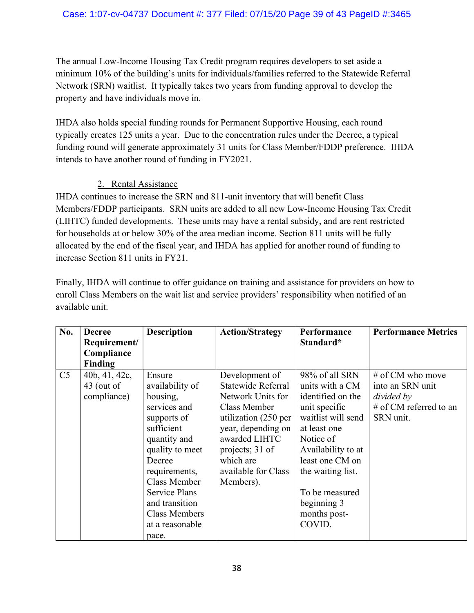The annual Low-Income Housing Tax Credit program requires developers to set aside a minimum 10% of the building's units for individuals/families referred to the Statewide Referral Network (SRN) waitlist. It typically takes two years from funding approval to develop the property and have individuals move in.

IHDA also holds special funding rounds for Permanent Supportive Housing, each round typically creates 125 units a year. Due to the concentration rules under the Decree, a typical funding round will generate approximately 31 units for Class Member/FDDP preference. IHDA intends to have another round of funding in FY2021.

# 2. Rental Assistance

IHDA continues to increase the SRN and 811-unit inventory that will benefit Class Members/FDDP participants. SRN units are added to all new Low-Income Housing Tax Credit (LIHTC) funded developments. These units may have a rental subsidy, and are rent restricted for households at or below 30% of the area median income. Section 811 units will be fully allocated by the end of the fiscal year, and IHDA has applied for another round of funding to increase Section 811 units in FY21.

Finally, IHDA will continue to offer guidance on training and assistance for providers on how to enroll Class Members on the wait list and service providers' responsibility when notified of an available unit.

| No.            | <b>Decree</b>  | <b>Description</b>   | <b>Action/Strategy</b> | Performance        | <b>Performance Metrics</b> |
|----------------|----------------|----------------------|------------------------|--------------------|----------------------------|
|                | Requirement/   |                      |                        | Standard*          |                            |
|                | Compliance     |                      |                        |                    |                            |
|                | <b>Finding</b> |                      |                        |                    |                            |
| C <sub>5</sub> | 40b, 41, 42c,  | Ensure               | Development of         | 98% of all SRN     | # of CM who move           |
|                | $43$ (out of   | availability of      | Statewide Referral     | units with a CM    | into an SRN unit           |
|                | compliance)    | housing,             | Network Units for      | identified on the  | divided by                 |
|                |                | services and         | Class Member           | unit specific      | # of CM referred to an     |
|                |                | supports of          | utilization (250 per   | waitlist will send | SRN unit.                  |
|                |                | sufficient           | year, depending on     | at least one       |                            |
|                |                | quantity and         | awarded LIHTC          | Notice of          |                            |
|                |                | quality to meet      | projects; 31 of        | Availability to at |                            |
|                |                | Decree               | which are              | least one CM on    |                            |
|                |                | requirements,        | available for Class    | the waiting list.  |                            |
|                |                | Class Member         | Members).              |                    |                            |
|                |                | Service Plans        |                        | To be measured     |                            |
|                |                | and transition       |                        | beginning 3        |                            |
|                |                | <b>Class Members</b> |                        | months post-       |                            |
|                |                | at a reasonable      |                        | COVID.             |                            |
|                |                | pace.                |                        |                    |                            |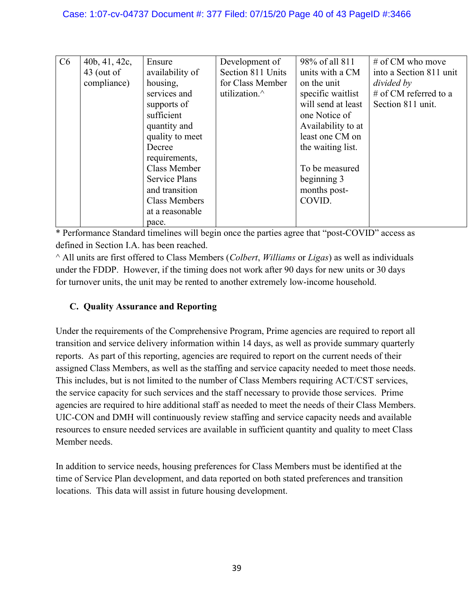| C6 | 40b, 41, 42c, | Ensure               | Development of    | 98% of all 811     | # of CM who move        |
|----|---------------|----------------------|-------------------|--------------------|-------------------------|
|    | $43$ (out of  | availability of      | Section 811 Units | units with a CM    | into a Section 811 unit |
|    | compliance)   | housing,             | for Class Member  | on the unit        | divided by              |
|    |               | services and         | utilization.^     | specific waitlist  | # of CM referred to a   |
|    |               | supports of          |                   | will send at least | Section 811 unit.       |
|    |               | sufficient           |                   | one Notice of      |                         |
|    |               | quantity and         |                   | Availability to at |                         |
|    |               | quality to meet      |                   | least one CM on    |                         |
|    |               | Decree               |                   | the waiting list.  |                         |
|    |               | requirements,        |                   |                    |                         |
|    |               | Class Member         |                   | To be measured     |                         |
|    |               | <b>Service Plans</b> |                   | beginning 3        |                         |
|    |               | and transition       |                   | months post-       |                         |
|    |               | Class Members        |                   | COVID.             |                         |
|    |               | at a reasonable      |                   |                    |                         |
|    |               | pace.                |                   |                    |                         |

 $^{\wedge}$  All units are first offered to Class Members (*Colbert, Williams* or *Ligas*) as well as individuals under the FDDP. However, if the timing does not work after 90 days for new units or 30 days for turnover units, the unit may be rented to another extremely low-income household.

# C. Quality Assurance and Reporting

Under the requirements of the Comprehensive Program, Prime agencies are required to report all transition and service delivery information within 14 days, as well as provide summary quarterly reports. As part of this reporting, agencies are required to report on the current needs of their assigned Class Members, as well as the staffing and service capacity needed to meet those needs. This includes, but is not limited to the number of Class Members requiring ACT/CST services, the service capacity for such services and the staff necessary to provide those services. Prime agencies are required to hire additional staff as needed to meet the needs of their Class Members. UIC-CON and DMH will continuously review staffing and service capacity needs and available resources to ensure needed services are available in sufficient quantity and quality to meet Class Member needs.

In addition to service needs, housing preferences for Class Members must be identified at the time of Service Plan development, and data reported on both stated preferences and transition locations. This data will assist in future housing development.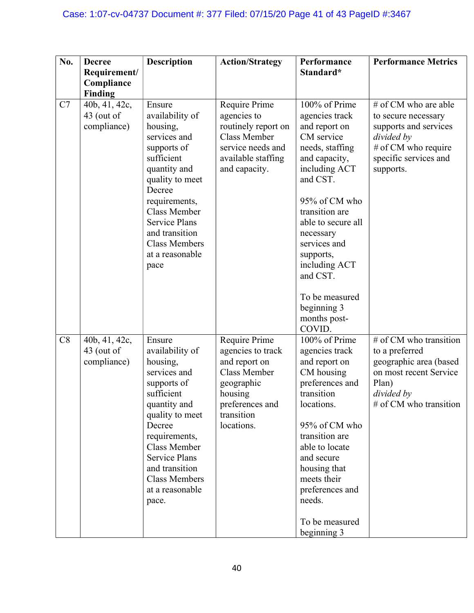| No. | <b>Decree</b>                                | <b>Description</b>                                                                                                                                                                                                                                                    | <b>Action/Strategy</b>                                                                                                                             | Performance                                                                                                                                                                                                                                                     | <b>Performance Metrics</b>                                                                                                                      |
|-----|----------------------------------------------|-----------------------------------------------------------------------------------------------------------------------------------------------------------------------------------------------------------------------------------------------------------------------|----------------------------------------------------------------------------------------------------------------------------------------------------|-----------------------------------------------------------------------------------------------------------------------------------------------------------------------------------------------------------------------------------------------------------------|-------------------------------------------------------------------------------------------------------------------------------------------------|
|     | Requirement/<br>Compliance                   |                                                                                                                                                                                                                                                                       |                                                                                                                                                    | Standard*                                                                                                                                                                                                                                                       |                                                                                                                                                 |
|     | Finding                                      |                                                                                                                                                                                                                                                                       |                                                                                                                                                    |                                                                                                                                                                                                                                                                 |                                                                                                                                                 |
| C7  | 40b, 41, 42c,<br>$43$ (out of<br>compliance) | Ensure<br>availability of<br>housing,<br>services and<br>supports of<br>sufficient<br>quantity and<br>quality to meet<br>Decree<br>requirements,<br><b>Class Member</b><br><b>Service Plans</b><br>and transition<br><b>Class Members</b><br>at a reasonable<br>pace  | Require Prime<br>agencies to<br>routinely report on<br><b>Class Member</b><br>service needs and<br>available staffing<br>and capacity.             | 100% of Prime<br>agencies track<br>and report on<br>CM service<br>needs, staffing<br>and capacity,<br>including ACT<br>and CST.<br>95% of CM who<br>transition are<br>able to secure all<br>necessary<br>services and<br>supports,<br>including ACT<br>and CST. | # of CM who are able<br>to secure necessary<br>supports and services<br>divided by<br># of CM who require<br>specific services and<br>supports. |
|     |                                              |                                                                                                                                                                                                                                                                       |                                                                                                                                                    | To be measured<br>beginning 3<br>months post-<br>COVID.                                                                                                                                                                                                         |                                                                                                                                                 |
| C8  | 40b, 41, 42c,<br>43 (out of<br>compliance)   | Ensure<br>availability of<br>housing,<br>services and<br>supports of<br>sufficient<br>quantity and<br>quality to meet<br>Decree<br>requirements,<br><b>Class Member</b><br><b>Service Plans</b><br>and transition<br><b>Class Members</b><br>at a reasonable<br>pace. | Require Prime<br>agencies to track<br>and report on<br><b>Class Member</b><br>geographic<br>housing<br>preferences and<br>transition<br>locations. | 100% of Prime<br>agencies track<br>and report on<br>CM housing<br>preferences and<br>transition<br>locations.<br>95% of CM who<br>transition are<br>able to locate<br>and secure<br>housing that<br>meets their<br>preferences and<br>needs.<br>To be measured  | # of CM who transition<br>to a preferred<br>geographic area (based<br>on most recent Service<br>Plan)<br>divided by<br>$#$ of CM who transition |
|     |                                              |                                                                                                                                                                                                                                                                       |                                                                                                                                                    | beginning 3                                                                                                                                                                                                                                                     |                                                                                                                                                 |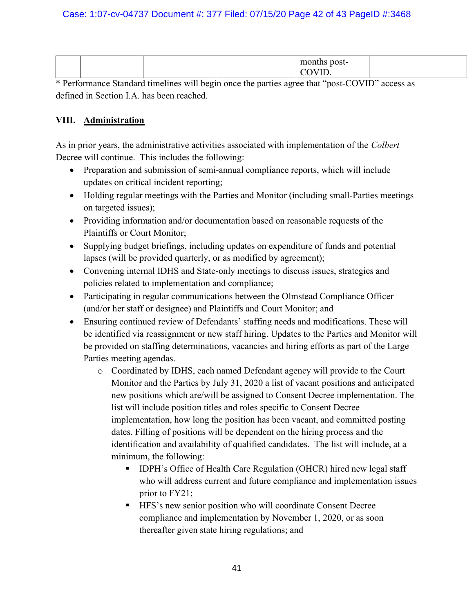|  |  | mo<br>post- |  |
|--|--|-------------|--|
|  |  |             |  |

## VIII. Administration

As in prior years, the administrative activities associated with implementation of the Colbert Decree will continue. This includes the following:

- Preparation and submission of semi-annual compliance reports, which will include updates on critical incident reporting;
- Holding regular meetings with the Parties and Monitor (including small-Parties meetings on targeted issues);
- Providing information and/or documentation based on reasonable requests of the Plaintiffs or Court Monitor;
- Supplying budget briefings, including updates on expenditure of funds and potential lapses (will be provided quarterly, or as modified by agreement);
- Convening internal IDHS and State-only meetings to discuss issues, strategies and policies related to implementation and compliance;
- Participating in regular communications between the Olmstead Compliance Officer (and/or her staff or designee) and Plaintiffs and Court Monitor; and
- Ensuring continued review of Defendants' staffing needs and modifications. These will be identified via reassignment or new staff hiring. Updates to the Parties and Monitor will be provided on staffing determinations, vacancies and hiring efforts as part of the Large Parties meeting agendas.
	- o Coordinated by IDHS, each named Defendant agency will provide to the Court Monitor and the Parties by July 31, 2020 a list of vacant positions and anticipated new positions which are/will be assigned to Consent Decree implementation. The list will include position titles and roles specific to Consent Decree implementation, how long the position has been vacant, and committed posting dates. Filling of positions will be dependent on the hiring process and the identification and availability of qualified candidates. The list will include, at a minimum, the following:
		- **IDPH's Office of Health Care Regulation (OHCR) hired new legal staff** who will address current and future compliance and implementation issues prior to FY21;
		- **HFS's new senior position who will coordinate Consent Decree** compliance and implementation by November 1, 2020, or as soon thereafter given state hiring regulations; and